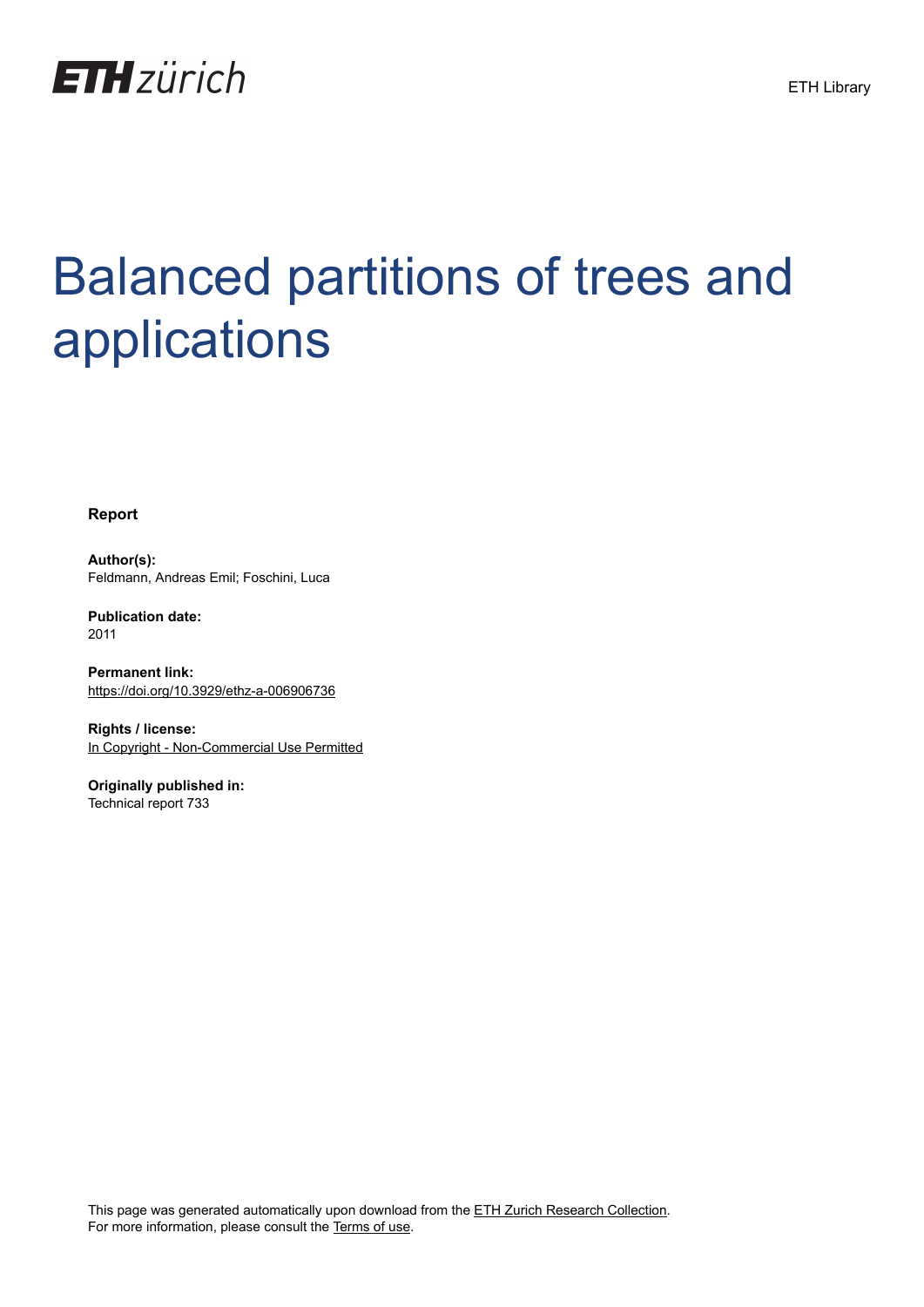

# Balanced partitions of trees and applications

**Report**

**Author(s):** Feldmann, Andreas Emil; Foschini, Luca

**Publication date:** 2011

**Permanent link:** <https://doi.org/10.3929/ethz-a-006906736>

**Rights / license:** [In Copyright - Non-Commercial Use Permitted](http://rightsstatements.org/page/InC-NC/1.0/)

**Originally published in:** Technical report 733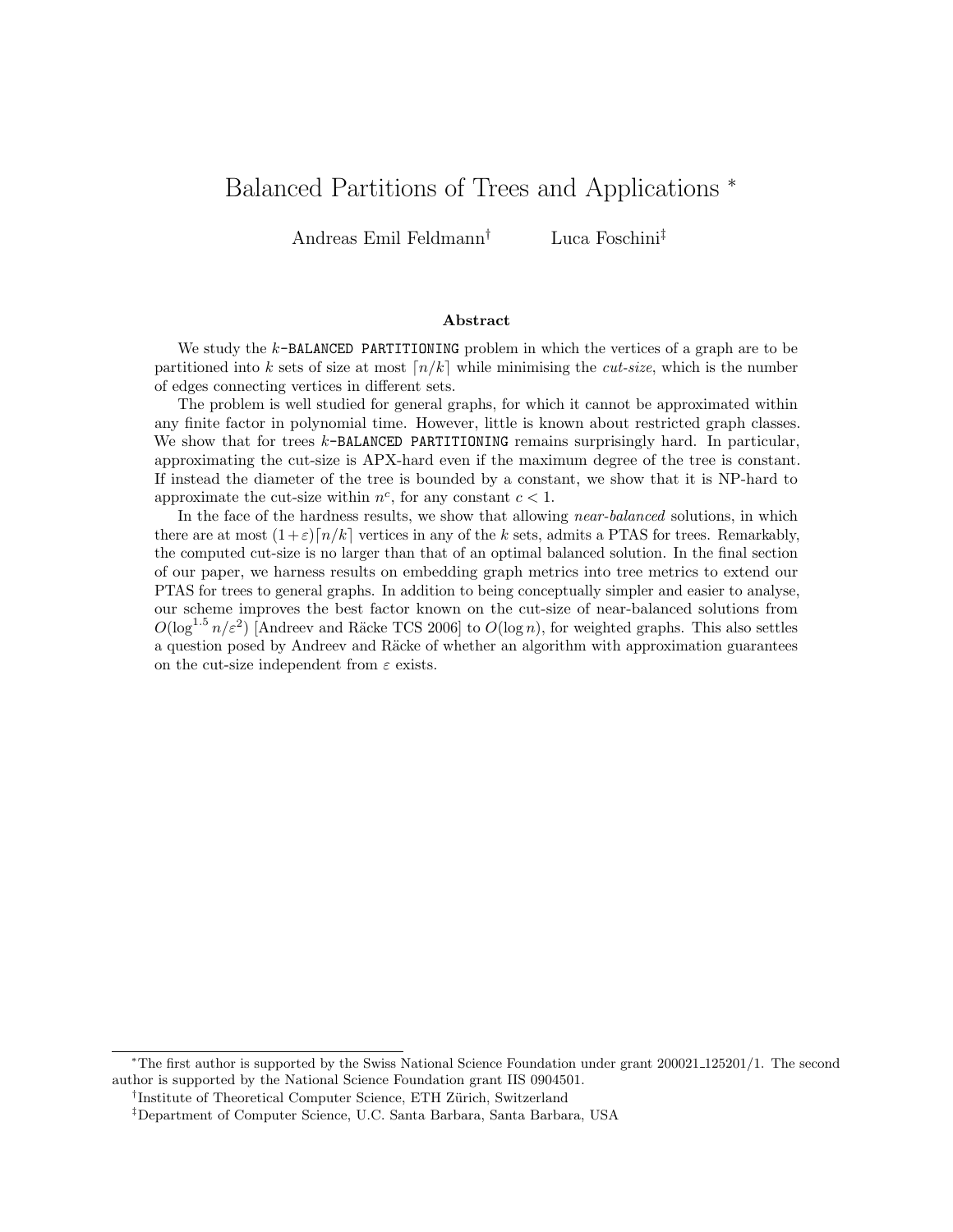## Balanced Partitions of Trees and Applications <sup>∗</sup>

Andreas Emil Feldmann† Luca Foschini‡

#### Abstract

We study the  $k$ -BALANCED PARTITIONING problem in which the vertices of a graph are to be partitioned into k sets of size at most  $\lfloor n/k \rfloor$  while minimising the *cut-size*, which is the number of edges connecting vertices in different sets.

The problem is well studied for general graphs, for which it cannot be approximated within any finite factor in polynomial time. However, little is known about restricted graph classes. We show that for trees k-BALANCED PARTITIONING remains surprisingly hard. In particular, approximating the cut-size is APX-hard even if the maximum degree of the tree is constant. If instead the diameter of the tree is bounded by a constant, we show that it is NP-hard to approximate the cut-size within  $n^c$ , for any constant  $c < 1$ .

In the face of the hardness results, we show that allowing *near-balanced* solutions, in which there are at most  $(1+\varepsilon)\lceil n/k \rceil$  vertices in any of the k sets, admits a PTAS for trees. Remarkably, the computed cut-size is no larger than that of an optimal balanced solution. In the final section of our paper, we harness results on embedding graph metrics into tree metrics to extend our PTAS for trees to general graphs. In addition to being conceptually simpler and easier to analyse, our scheme improves the best factor known on the cut-size of near-balanced solutions from  $O(\log^{1.5} n/\varepsilon^2)$  [Andreev and Räcke TCS 2006] to  $O(\log n)$ , for weighted graphs. This also settles a question posed by Andreev and Räcke of whether an algorithm with approximation guarantees on the cut-size independent from  $\varepsilon$  exists.

<sup>∗</sup>The first author is supported by the Swiss National Science Foundation under grant 200021 125201/1. The second author is supported by the National Science Foundation grant IIS 0904501.

<sup>&</sup>lt;sup>†</sup>Institute of Theoretical Computer Science, ETH Zürich, Switzerland

<sup>‡</sup>Department of Computer Science, U.C. Santa Barbara, Santa Barbara, USA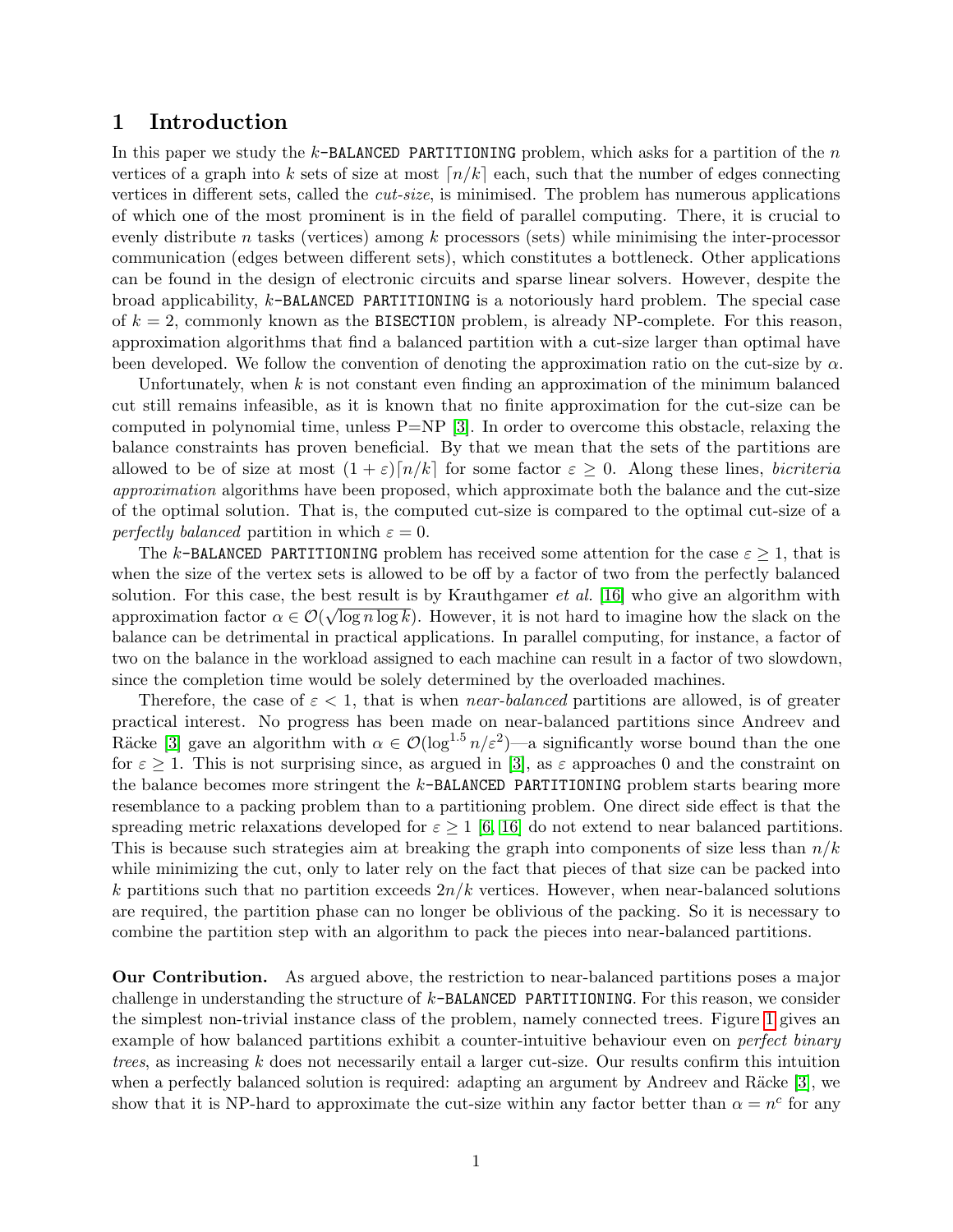## 1 Introduction

In this paper we study the  $k$ -BALANCED PARTITIONING problem, which asks for a partition of the n vertices of a graph into k sets of size at most  $\lfloor n/k \rfloor$  each, such that the number of edges connecting vertices in different sets, called the cut-size, is minimised. The problem has numerous applications of which one of the most prominent is in the field of parallel computing. There, it is crucial to evenly distribute n tasks (vertices) among  $k$  processors (sets) while minimising the inter-processor communication (edges between different sets), which constitutes a bottleneck. Other applications can be found in the design of electronic circuits and sparse linear solvers. However, despite the broad applicability, k-BALANCED PARTITIONING is a notoriously hard problem. The special case of  $k = 2$ , commonly known as the BISECTION problem, is already NP-complete. For this reason, approximation algorithms that find a balanced partition with a cut-size larger than optimal have been developed. We follow the convention of denoting the approximation ratio on the cut-size by  $\alpha$ .

Unfortunately, when  $k$  is not constant even finding an approximation of the minimum balanced cut still remains infeasible, as it is known that no finite approximation for the cut-size can be computed in polynomial time, unless  $P=NP$  [\[3\]](#page-16-0). In order to overcome this obstacle, relaxing the balance constraints has proven beneficial. By that we mean that the sets of the partitions are allowed to be of size at most  $(1 + \varepsilon) [n/k]$  for some factor  $\varepsilon \geq 0$ . Along these lines, bicriteria approximation algorithms have been proposed, which approximate both the balance and the cut-size of the optimal solution. That is, the computed cut-size is compared to the optimal cut-size of a perfectly balanced partition in which  $\varepsilon = 0$ .

The k-BALANCED PARTITIONING problem has received some attention for the case  $\varepsilon \geq 1$ , that is when the size of the vertex sets is allowed to be off by a factor of two from the perfectly balanced solution. For this case, the best result is by Krauthgamer *et al.* [\[16\]](#page-17-0) who give an algorithm with approximation factor  $\alpha \in \mathcal{O}(\sqrt{\log n \log k})$ . However, it is not hard to imagine how the slack on the balance can be detrimental in practical applications. In parallel computing, for instance, a factor of two on the balance in the workload assigned to each machine can result in a factor of two slowdown, since the completion time would be solely determined by the overloaded machines.

Therefore, the case of  $\varepsilon < 1$ , that is when *near-balanced* partitions are allowed, is of greater practical interest. No progress has been made on near-balanced partitions since Andreev and Räcke [\[3\]](#page-16-0) gave an algorithm with  $\alpha \in \mathcal{O}(\log^{1.5} n/\varepsilon^2)$ —a significantly worse bound than the one for  $\varepsilon \geq 1$ . This is not surprising since, as argued in [\[3\]](#page-16-0), as  $\varepsilon$  approaches 0 and the constraint on the balance becomes more stringent the k-BALANCED PARTITIONING problem starts bearing more resemblance to a packing problem than to a partitioning problem. One direct side effect is that the spreading metric relaxations developed for  $\varepsilon \geq 1$  [\[6,](#page-16-1) [16\]](#page-17-0) do not extend to near balanced partitions. This is because such strategies aim at breaking the graph into components of size less than  $n/k$ while minimizing the cut, only to later rely on the fact that pieces of that size can be packed into k partitions such that no partition exceeds  $2n/k$  vertices. However, when near-balanced solutions are required, the partition phase can no longer be oblivious of the packing. So it is necessary to combine the partition step with an algorithm to pack the pieces into near-balanced partitions.

Our Contribution. As argued above, the restriction to near-balanced partitions poses a major challenge in understanding the structure of k-BALANCED PARTITIONING. For this reason, we consider the simplest non-trivial instance class of the problem, namely connected trees. Figure [1](#page-3-0) gives an example of how balanced partitions exhibit a counter-intuitive behaviour even on *perfect binary* trees, as increasing  $k$  does not necessarily entail a larger cut-size. Our results confirm this intuition when a perfectly balanced solution is required: adapting an argument by Andreev and Räcke  $[3]$ , we show that it is NP-hard to approximate the cut-size within any factor better than  $\alpha = n^c$  for any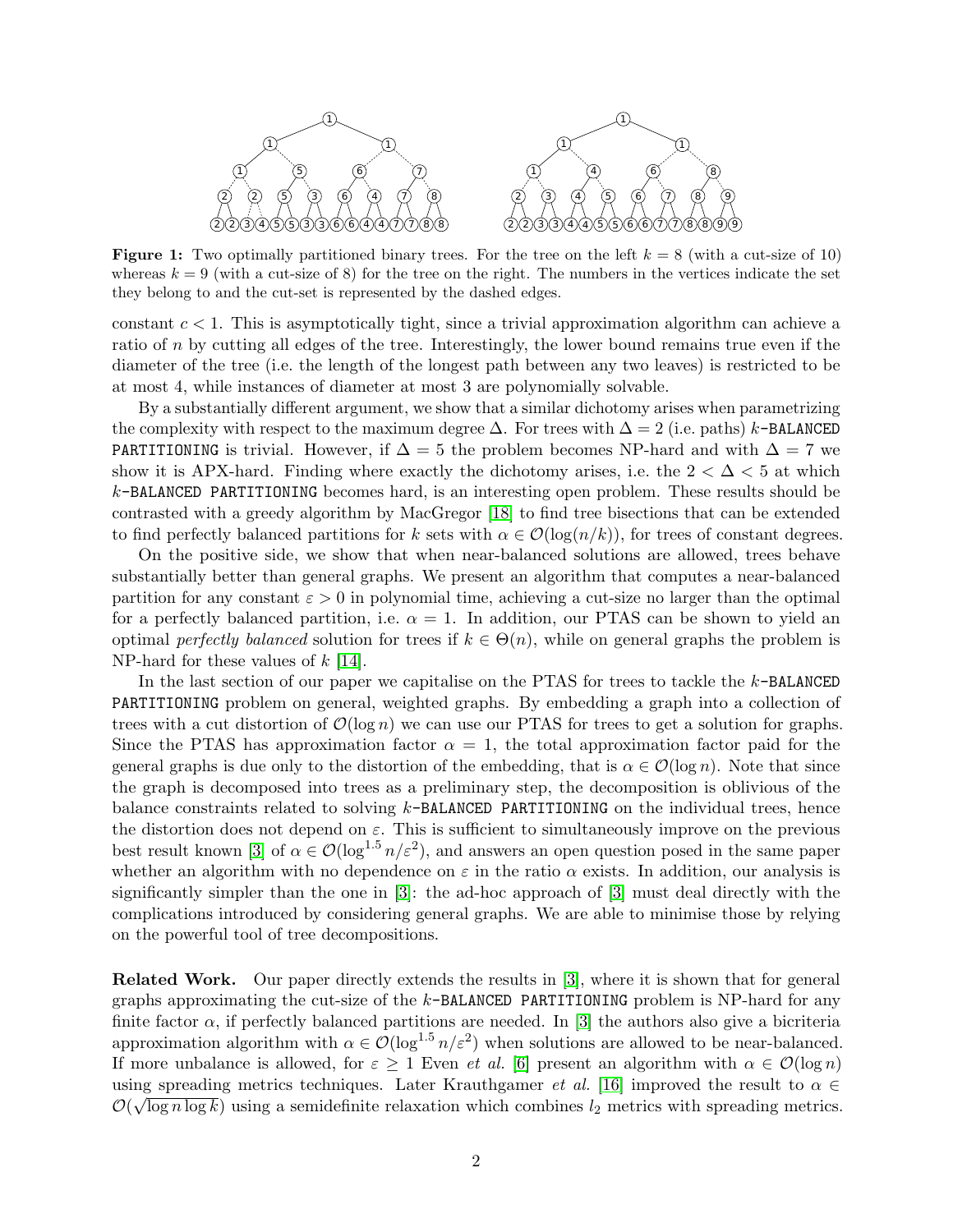<span id="page-3-0"></span>

**Figure 1:** Two optimally partitioned binary trees. For the tree on the left  $k = 8$  (with a cut-size of 10) whereas  $k = 9$  (with a cut-size of 8) for the tree on the right. The numbers in the vertices indicate the set they belong to and the cut-set is represented by the dashed edges.

constant  $c < 1$ . This is asymptotically tight, since a trivial approximation algorithm can achieve a ratio of  $n$  by cutting all edges of the tree. Interestingly, the lower bound remains true even if the diameter of the tree (i.e. the length of the longest path between any two leaves) is restricted to be at most 4, while instances of diameter at most 3 are polynomially solvable.

By a substantially different argument, we show that a similar dichotomy arises when parametrizing the complexity with respect to the maximum degree  $\Delta$ . For trees with  $\Delta = 2$  (i.e. paths) k-BALANCED PARTITIONING is trivial. However, if  $\Delta = 5$  the problem becomes NP-hard and with  $\Delta = 7$  we show it is APX-hard. Finding where exactly the dichotomy arises, i.e. the  $2 < \Delta < 5$  at which  $k$ -BALANCED PARTITIONING becomes hard, is an interesting open problem. These results should be contrasted with a greedy algorithm by MacGregor [\[18\]](#page-17-1) to find tree bisections that can be extended to find perfectly balanced partitions for k sets with  $\alpha \in \mathcal{O}(\log(n/k))$ , for trees of constant degrees.

On the positive side, we show that when near-balanced solutions are allowed, trees behave substantially better than general graphs. We present an algorithm that computes a near-balanced partition for any constant  $\varepsilon > 0$  in polynomial time, achieving a cut-size no larger than the optimal for a perfectly balanced partition, i.e.  $\alpha = 1$ . In addition, our PTAS can be shown to yield an optimal perfectly balanced solution for trees if  $k \in \Theta(n)$ , while on general graphs the problem is NP-hard for these values of  $k$  [\[14\]](#page-16-2).

In the last section of our paper we capitalise on the PTAS for trees to tackle the k-BALANCED PARTITIONING problem on general, weighted graphs. By embedding a graph into a collection of trees with a cut distortion of  $\mathcal{O}(\log n)$  we can use our PTAS for trees to get a solution for graphs. Since the PTAS has approximation factor  $\alpha = 1$ , the total approximation factor paid for the general graphs is due only to the distortion of the embedding, that is  $\alpha \in \mathcal{O}(\log n)$ . Note that since the graph is decomposed into trees as a preliminary step, the decomposition is oblivious of the balance constraints related to solving  $k$ -BALANCED PARTITIONING on the individual trees, hence the distortion does not depend on  $\varepsilon$ . This is sufficient to simultaneously improve on the previous best result known [\[3\]](#page-16-0) of  $\alpha \in \mathcal{O}(\log^{1.5} n/\varepsilon^2)$ , and answers an open question posed in the same paper whether an algorithm with no dependence on  $\varepsilon$  in the ratio  $\alpha$  exists. In addition, our analysis is significantly simpler than the one in [\[3\]](#page-16-0): the ad-hoc approach of [\[3\]](#page-16-0) must deal directly with the complications introduced by considering general graphs. We are able to minimise those by relying on the powerful tool of tree decompositions.

Related Work. Our paper directly extends the results in [\[3\]](#page-16-0), where it is shown that for general graphs approximating the cut-size of the  $k$ -BALANCED PARTITIONING problem is NP-hard for any finite factor  $\alpha$ , if perfectly balanced partitions are needed. In [\[3\]](#page-16-0) the authors also give a bicriteria approximation algorithm with  $\alpha \in \mathcal{O}(\log^{1.5} n/\varepsilon^2)$  when solutions are allowed to be near-balanced. If more unbalance is allowed, for  $\varepsilon \geq 1$  Even *et al.* [\[6\]](#page-16-1) present an algorithm with  $\alpha \in \mathcal{O}(\log n)$ using spreading metrics techniques. Later Krauthgamer *et al.* [\[16\]](#page-17-0) improved the result to  $\alpha \in \mathbb{R}$  $\mathcal{O}(\sqrt{\log n \log k})$  using a semidefinite relaxation which combines  $l_2$  metrics with spreading metrics.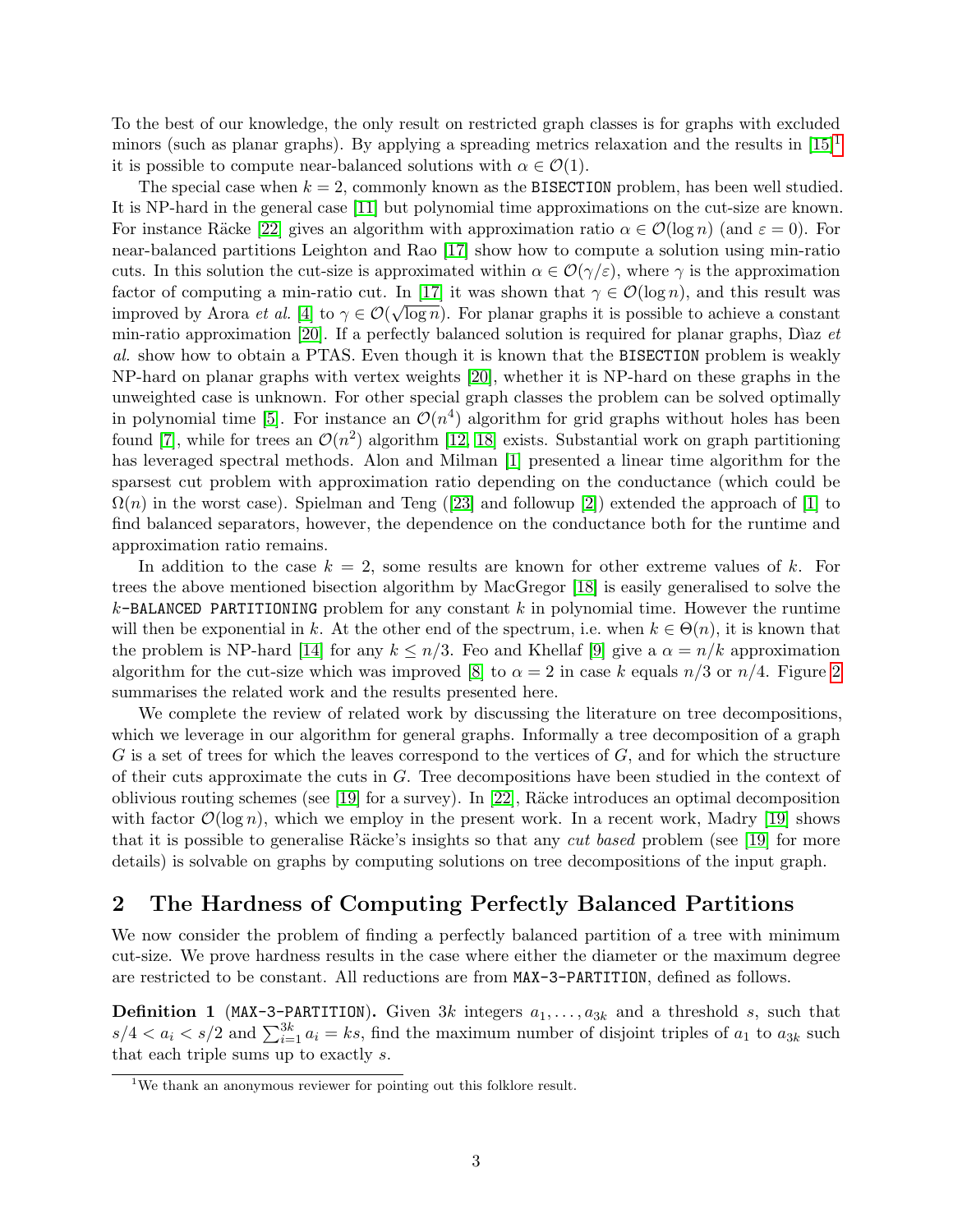To the best of our knowledge, the only result on restricted graph classes is for graphs with excluded minors (such as planar graphs). By applying a spreading metrics relaxation and the results in [\[15\]](#page-16-3)<sup>[1](#page-4-0)</sup> it is possible to compute near-balanced solutions with  $\alpha \in \mathcal{O}(1)$ .

The special case when  $k = 2$ , commonly known as the BISECTION problem, has been well studied. It is NP-hard in the general case [\[11\]](#page-16-4) but polynomial time approximations on the cut-size are known. For instance Räcke [\[22\]](#page-17-2) gives an algorithm with approximation ratio  $\alpha \in \mathcal{O}(\log n)$  (and  $\varepsilon = 0$ ). For near-balanced partitions Leighton and Rao [\[17\]](#page-17-3) show how to compute a solution using min-ratio cuts. In this solution the cut-size is approximated within  $\alpha \in \mathcal{O}(\gamma/\varepsilon)$ , where  $\gamma$  is the approximation factor of computing a min-ratio cut. In [\[17\]](#page-17-3) it was shown that  $\gamma \in \mathcal{O}(\log n)$ , and this result was improved by Arora *et al.* [\[4\]](#page-16-5) to  $\gamma \in \mathcal{O}(\sqrt{\log n})$ . For planar graphs it is possible to achieve a constant min-ratio approximation [\[20\]](#page-17-4). If a perfectly balanced solution is required for planar graphs, Diaz  $et$ al. show how to obtain a PTAS. Even though it is known that the BISECTION problem is weakly NP-hard on planar graphs with vertex weights [\[20\]](#page-17-4), whether it is NP-hard on these graphs in the unweighted case is unknown. For other special graph classes the problem can be solved optimally in polynomial time [\[5\]](#page-16-6). For instance an  $\mathcal{O}(n^4)$  algorithm for grid graphs without holes has been found [\[7\]](#page-16-7), while for trees an  $\mathcal{O}(n^2)$  algorithm [\[12,](#page-16-8) [18\]](#page-17-1) exists. Substantial work on graph partitioning has leveraged spectral methods. Alon and Milman [\[1\]](#page-16-9) presented a linear time algorithm for the sparsest cut problem with approximation ratio depending on the conductance (which could be  $\Omega(n)$  in the worst case). Spielman and Teng ([\[23\]](#page-17-5) and followup [\[2\]](#page-16-10)) extended the approach of [\[1\]](#page-16-9) to find balanced separators, however, the dependence on the conductance both for the runtime and approximation ratio remains.

In addition to the case  $k = 2$ , some results are known for other extreme values of k. For trees the above mentioned bisection algorithm by MacGregor [\[18\]](#page-17-1) is easily generalised to solve the  $k$ -BALANCED PARTITIONING problem for any constant k in polynomial time. However the runtime will then be exponential in k. At the other end of the spectrum, i.e. when  $k \in \Theta(n)$ , it is known that the problem is NP-hard [\[14\]](#page-16-2) for any  $k \leq n/3$ . Feo and Khellaf [\[9\]](#page-16-11) give a  $\alpha = n/k$  approximation algorithm for the cut-size which was improved [\[8\]](#page-16-12) to  $\alpha = 2$  $\alpha = 2$  in case k equals  $n/3$  or  $n/4$ . Figure 2 summarises the related work and the results presented here.

We complete the review of related work by discussing the literature on tree decompositions, which we leverage in our algorithm for general graphs. Informally a tree decomposition of a graph  $G$  is a set of trees for which the leaves correspond to the vertices of  $G$ , and for which the structure of their cuts approximate the cuts in  $G$ . Tree decompositions have been studied in the context of oblivious routing schemes (see [\[19\]](#page-17-6) for a survey). In [\[22\]](#page-17-2), Räcke introduces an optimal decomposition with factor  $\mathcal{O}(\log n)$ , which we employ in the present work. In a recent work, Madry [\[19\]](#page-17-6) shows that it is possible to generalise Räcke's insights so that any *cut based* problem (see [\[19\]](#page-17-6) for more details) is solvable on graphs by computing solutions on tree decompositions of the input graph.

## <span id="page-4-1"></span>2 The Hardness of Computing Perfectly Balanced Partitions

We now consider the problem of finding a perfectly balanced partition of a tree with minimum cut-size. We prove hardness results in the case where either the diameter or the maximum degree are restricted to be constant. All reductions are from MAX-3-PARTITION, defined as follows.

**Definition 1** (MAX-3-PARTITION). Given 3k integers  $a_1, \ldots, a_{3k}$  and a threshold s, such that  $s/4 < a_i < s/2$  and  $\sum_{i=1}^{3k} a_i = ks$ , find the maximum number of disjoint triples of  $a_1$  to  $a_{3k}$  such that each triple sums up to exactly s.

<span id="page-4-0"></span><sup>&</sup>lt;sup>1</sup>We thank an anonymous reviewer for pointing out this folklore result.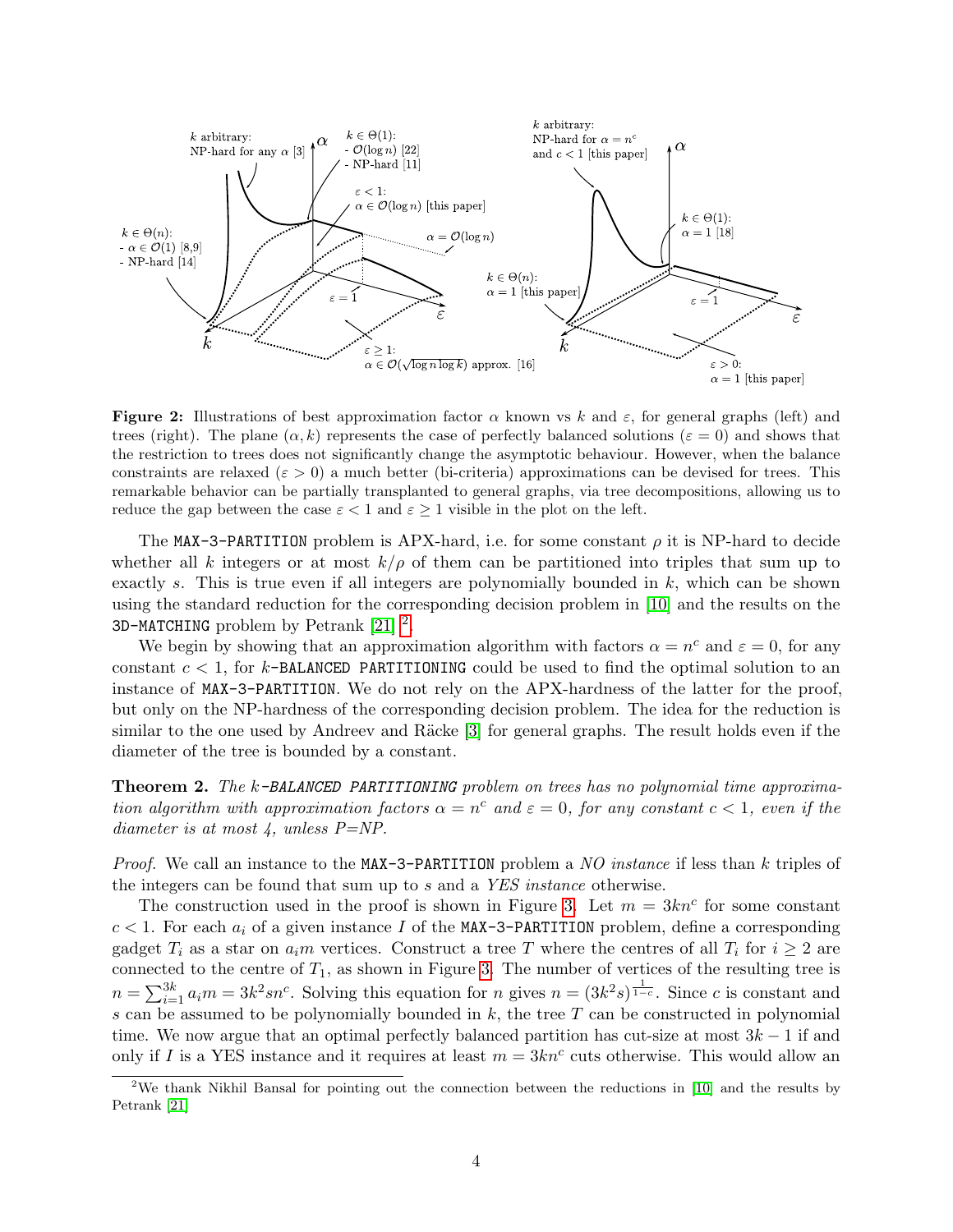<span id="page-5-0"></span>

**Figure 2:** Illustrations of best approximation factor  $\alpha$  known vs k and  $\varepsilon$ , for general graphs (left) and trees (right). The plane  $(\alpha, k)$  represents the case of perfectly balanced solutions ( $\varepsilon = 0$ ) and shows that the restriction to trees does not significantly change the asymptotic behaviour. However, when the balance constraints are relaxed ( $\varepsilon > 0$ ) a much better (bi-criteria) approximations can be devised for trees. This remarkable behavior can be partially transplanted to general graphs, via tree decompositions, allowing us to reduce the gap between the case  $\varepsilon < 1$  and  $\varepsilon \geq 1$  visible in the plot on the left.

The MAX-3-PARTITION problem is APX-hard, i.e. for some constant  $\rho$  it is NP-hard to decide whether all k integers or at most  $k/\rho$  of them can be partitioned into triples that sum up to exactly s. This is true even if all integers are polynomially bounded in  $k$ , which can be shown using the standard reduction for the corresponding decision problem in [\[10\]](#page-16-13) and the results on the 3D-MATCHING problem by Petrank  $[21]$ <sup>[2](#page-5-1)</sup>.

We begin by showing that an approximation algorithm with factors  $\alpha = n^c$  and  $\varepsilon = 0$ , for any constant  $c < 1$ , for k-BALANCED PARTITIONING could be used to find the optimal solution to an instance of MAX-3-PARTITION. We do not rely on the APX-hardness of the latter for the proof, but only on the NP-hardness of the corresponding decision problem. The idea for the reduction is similar to the one used by Andreev and Räcke  $[3]$  for general graphs. The result holds even if the diameter of the tree is bounded by a constant.

<span id="page-5-2"></span>Theorem 2. The k-BALANCED PARTITIONING problem on trees has no polynomial time approximation algorithm with approximation factors  $\alpha = n^c$  and  $\varepsilon = 0$ , for any constant  $c < 1$ , even if the diameter is at most  $\downarrow$ , unless P=NP.

Proof. We call an instance to the MAX-3-PARTITION problem a NO instance if less than k triples of the integers can be found that sum up to s and a YES instance otherwise.

The construction used in the proof is shown in Figure [3.](#page-6-0) Let  $m = 3kn^c$  for some constant  $c < 1$ . For each  $a_i$  of a given instance I of the MAX-3-PARTITION problem, define a corresponding gadget  $T_i$  as a star on  $a_i m$  vertices. Construct a tree T where the centres of all  $T_i$  for  $i \geq 2$  are connected to the centre of  $T_1$ , as shown in Figure [3.](#page-6-0) The number of vertices of the resulting tree is  $n = \sum_{i=1}^{3k} a_i m = 3k^2 s n^c$ . Solving this equation for n gives  $n = (3k^2 s)^{\frac{1}{1-c}}$ . Since c is constant and s can be assumed to be polynomially bounded in  $k$ , the tree  $T$  can be constructed in polynomial time. We now argue that an optimal perfectly balanced partition has cut-size at most  $3k - 1$  if and only if I is a YES instance and it requires at least  $m = 3kn^c$  cuts otherwise. This would allow an

<span id="page-5-1"></span><sup>&</sup>lt;sup>2</sup>We thank Nikhil Bansal for pointing out the connection between the reductions in [\[10\]](#page-16-13) and the results by Petrank [\[21\]](#page-17-7)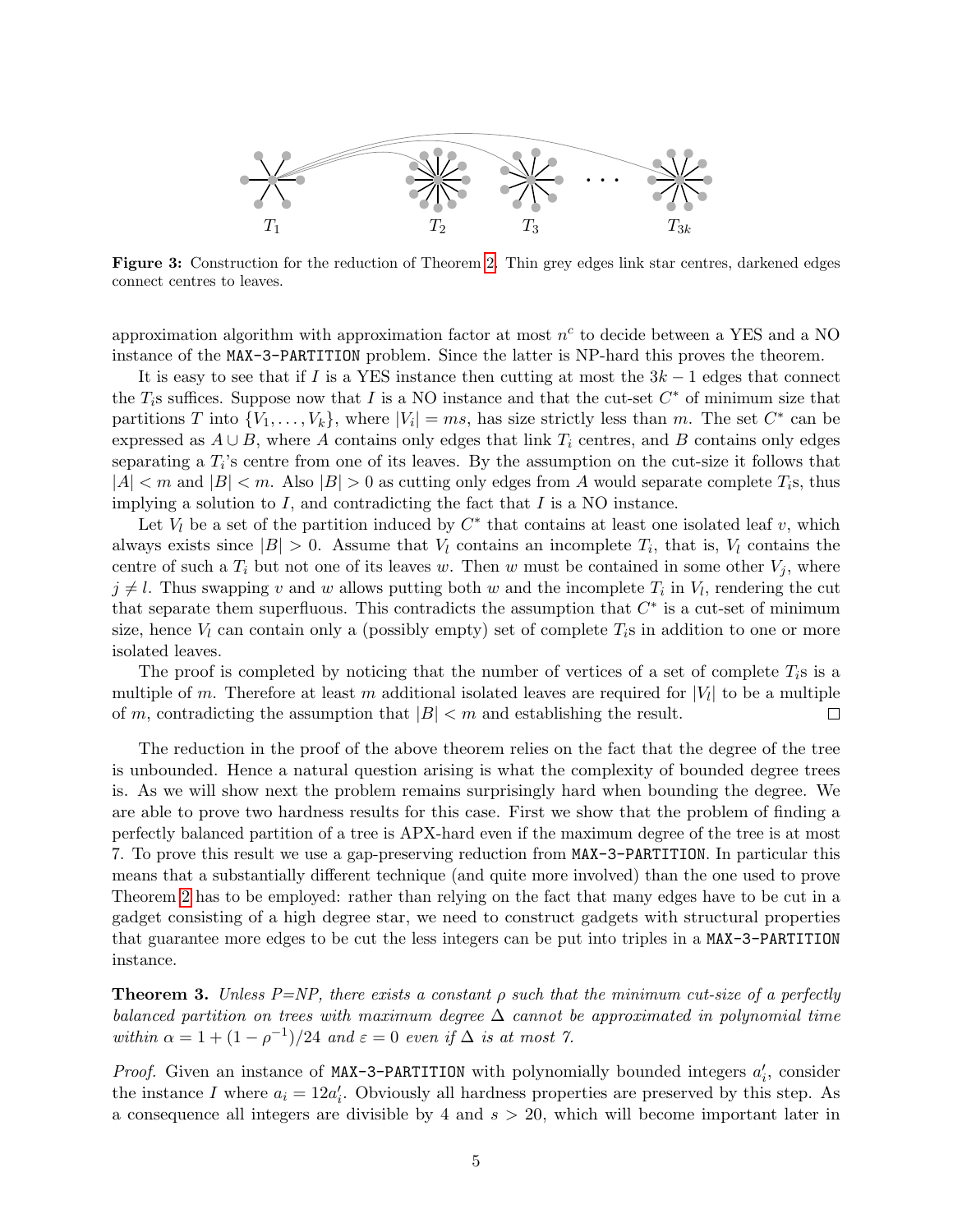<span id="page-6-0"></span>

Figure 3: Construction for the reduction of Theorem [2.](#page-5-2) Thin grey edges link star centres, darkened edges connect centres to leaves.

approximation algorithm with approximation factor at most  $n^c$  to decide between a YES and a NO instance of the MAX-3-PARTITION problem. Since the latter is NP-hard this proves the theorem.

It is easy to see that if I is a YES instance then cutting at most the  $3k-1$  edges that connect the  $T_i$ s suffices. Suppose now that I is a NO instance and that the cut-set  $C^*$  of minimum size that partitions T into  $\{V_1, \ldots, V_k\}$ , where  $|V_i| = ms$ , has size strictly less than m. The set  $C^*$  can be expressed as  $A \cup B$ , where A contains only edges that link  $T_i$  centres, and B contains only edges separating a  $T_i$ 's centre from one of its leaves. By the assumption on the cut-size it follows that  $|A| < m$  and  $|B| < m$ . Also  $|B| > 0$  as cutting only edges from A would separate complete  $T_i$ s, thus implying a solution to  $I$ , and contradicting the fact that  $I$  is a NO instance.

Let  $V_l$  be a set of the partition induced by  $C^*$  that contains at least one isolated leaf v, which always exists since  $|B| > 0$ . Assume that  $V_l$  contains an incomplete  $T_i$ , that is,  $V_l$  contains the centre of such a  $T_i$  but not one of its leaves w. Then w must be contained in some other  $V_i$ , where  $j \neq l$ . Thus swapping v and w allows putting both w and the incomplete  $T_i$  in  $V_l$ , rendering the cut that separate them superfluous. This contradicts the assumption that  $C^*$  is a cut-set of minimum size, hence  $V_l$  can contain only a (possibly empty) set of complete  $T_i$ s in addition to one or more isolated leaves.

The proof is completed by noticing that the number of vertices of a set of complete  $T_i$ s is a multiple of m. Therefore at least m additional isolated leaves are required for  $|V_l|$  to be a multiple of m, contradicting the assumption that  $|B| < m$  and establishing the result.  $\Box$ 

The reduction in the proof of the above theorem relies on the fact that the degree of the tree is unbounded. Hence a natural question arising is what the complexity of bounded degree trees is. As we will show next the problem remains surprisingly hard when bounding the degree. We are able to prove two hardness results for this case. First we show that the problem of finding a perfectly balanced partition of a tree is APX-hard even if the maximum degree of the tree is at most 7. To prove this result we use a gap-preserving reduction from MAX-3-PARTITION. In particular this means that a substantially different technique (and quite more involved) than the one used to prove Theorem [2](#page-5-2) has to be employed: rather than relying on the fact that many edges have to be cut in a gadget consisting of a high degree star, we need to construct gadgets with structural properties that guarantee more edges to be cut the less integers can be put into triples in a MAX-3-PARTITION instance.

<span id="page-6-1"></span>**Theorem 3.** Unless P=NP, there exists a constant  $\rho$  such that the minimum cut-size of a perfectly balanced partition on trees with maximum degree  $\Delta$  cannot be approximated in polynomial time within  $\alpha = 1 + (1 - \rho^{-1})/24$  and  $\varepsilon = 0$  even if  $\Delta$  is at most 7.

*Proof.* Given an instance of MAX-3-PARTITION with polynomially bounded integers  $a'_i$ , consider the instance I where  $a_i = 12a'_i$ . Obviously all hardness properties are preserved by this step. As a consequence all integers are divisible by 4 and  $s > 20$ , which will become important later in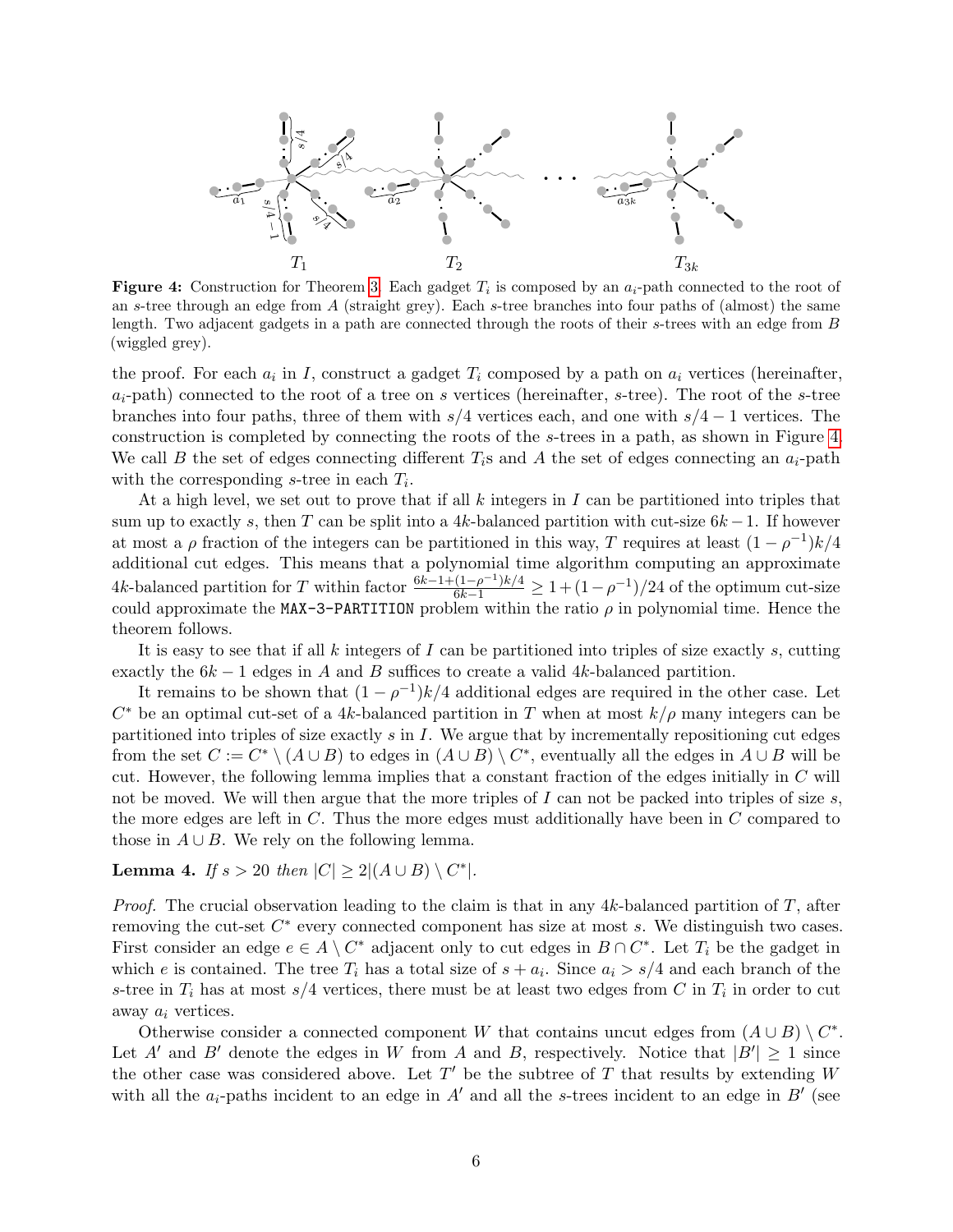<span id="page-7-0"></span>

**Figure 4:** Construction for Theorem [3.](#page-6-1) Each gadget  $T_i$  is composed by an  $a_i$ -path connected to the root of an s-tree through an edge from A (straight grey). Each s-tree branches into four paths of (almost) the same length. Two adjacent gadgets in a path are connected through the roots of their s-trees with an edge from B (wiggled grey).

the proof. For each  $a_i$  in I, construct a gadget  $T_i$  composed by a path on  $a_i$  vertices (hereinafter,  $a_i$ -path) connected to the root of a tree on s vertices (hereinafter, s-tree). The root of the s-tree branches into four paths, three of them with  $s/4$  vertices each, and one with  $s/4 - 1$  vertices. The construction is completed by connecting the roots of the s-trees in a path, as shown in Figure [4.](#page-7-0) We call B the set of edges connecting different  $T_i$ s and A the set of edges connecting an  $a_i$ -path with the corresponding s-tree in each  $T_i$ .

At a high level, we set out to prove that if all  $k$  integers in  $I$  can be partitioned into triples that sum up to exactly s, then T can be split into a 4k-balanced partition with cut-size  $6k - 1$ . If however at most a  $\rho$  fraction of the integers can be partitioned in this way, T requires at least  $(1 - \rho^{-1})k/4$ additional cut edges. This means that a polynomial time algorithm computing an approximate 4k-balanced partition for T within factor  $\frac{6k-1+(1-\rho^{-1})k/4}{6k-1} \geq 1+(1-\rho^{-1})/24$  of the optimum cut-size could approximate the MAX-3-PARTITION problem within the ratio  $\rho$  in polynomial time. Hence the theorem follows.

It is easy to see that if all  $k$  integers of  $I$  can be partitioned into triples of size exactly  $s$ , cutting exactly the  $6k-1$  edges in A and B suffices to create a valid 4k-balanced partition.

It remains to be shown that  $(1 - \rho^{-1})k/4$  additional edges are required in the other case. Let  $C^*$  be an optimal cut-set of a 4k-balanced partition in T when at most  $k/\rho$  many integers can be partitioned into triples of size exactly  $s$  in  $I$ . We argue that by incrementally repositioning cut edges from the set  $C := C^* \setminus (A \cup B)$  to edges in  $(A \cup B) \setminus C^*$ , eventually all the edges in  $A \cup B$  will be cut. However, the following lemma implies that a constant fraction of the edges initially in C will not be moved. We will then argue that the more triples of  $I$  can not be packed into triples of size  $s$ , the more edges are left in C. Thus the more edges must additionally have been in C compared to those in  $A \cup B$ . We rely on the following lemma.

## <span id="page-7-1"></span>Lemma 4. If  $s > 20$  then  $|C| \geq 2|(A \cup B) \setminus C^*|$ .

*Proof.* The crucial observation leading to the claim is that in any  $4k$ -balanced partition of  $T$ , after removing the cut-set  $C^*$  every connected component has size at most  $s$ . We distinguish two cases. First consider an edge  $e \in A \setminus C^*$  adjacent only to cut edges in  $B \cap C^*$ . Let  $T_i$  be the gadget in which e is contained. The tree  $T_i$  has a total size of  $s + a_i$ . Since  $a_i > s/4$  and each branch of the s-tree in  $T_i$  has at most  $s/4$  vertices, there must be at least two edges from C in  $T_i$  in order to cut away  $a_i$  vertices.

Otherwise consider a connected component W that contains uncut edges from  $(A \cup B) \setminus C^*$ . Let A' and B' denote the edges in W from A and B, respectively. Notice that  $|B'| \geq 1$  since the other case was considered above. Let  $T'$  be the subtree of T that results by extending W with all the  $a_i$ -paths incident to an edge in A' and all the s-trees incident to an edge in B' (see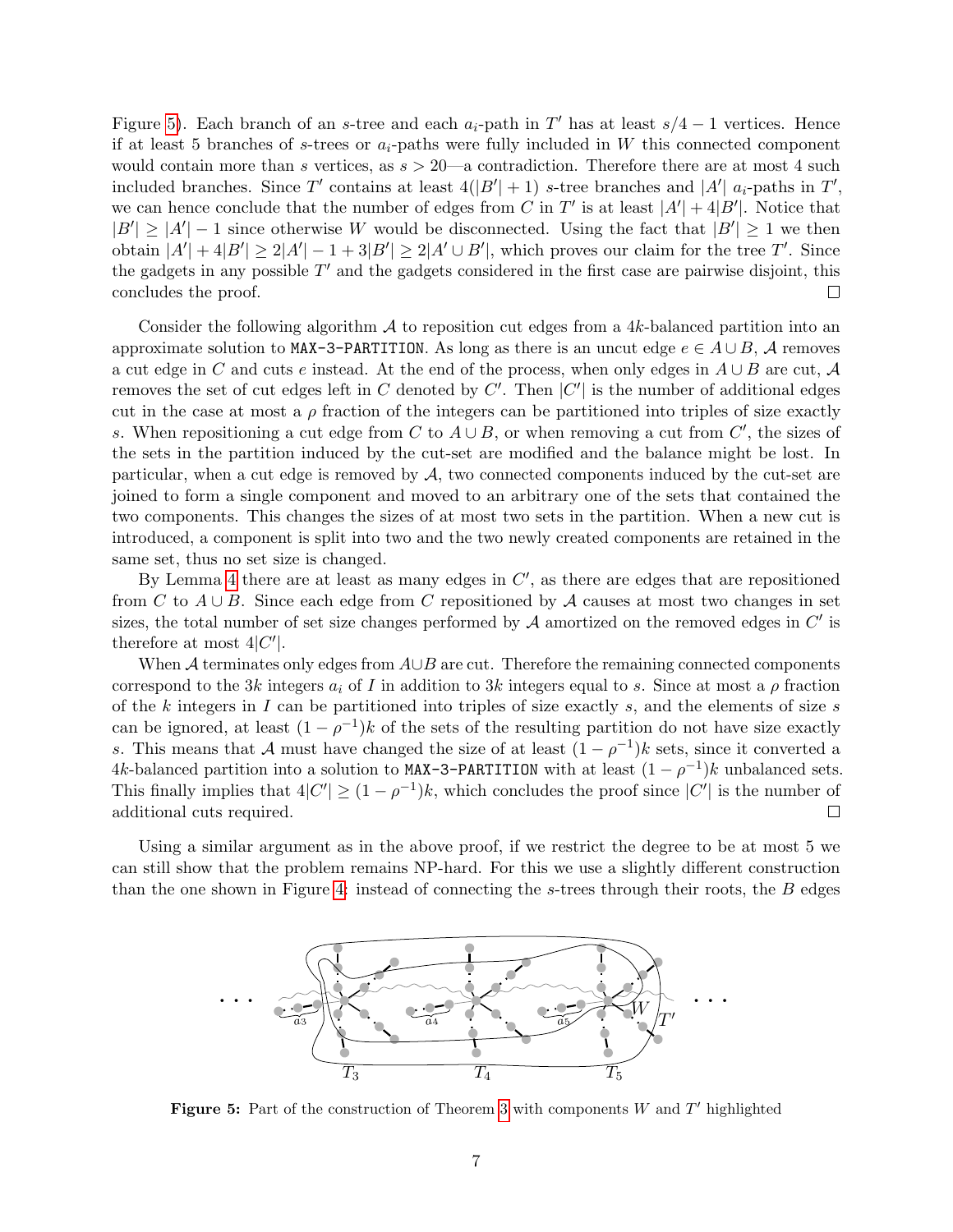Figure [5\)](#page-8-0). Each branch of an s-tree and each  $a_i$ -path in T' has at least  $s/4 - 1$  vertices. Hence if at least 5 branches of s-trees or  $a_i$ -paths were fully included in W this connected component would contain more than s vertices, as  $s > 20$ —a contradiction. Therefore there are at most 4 such included branches. Since T' contains at least  $4(|B'| + 1)$  s-tree branches and |A'|  $a_i$ -paths in T', we can hence conclude that the number of edges from C in T' is at least  $|A'| + 4|B'|$ . Notice that  $|B'| \geq |A'|-1$  since otherwise W would be disconnected. Using the fact that  $|B'| \geq 1$  we then obtain  $|A'| + 4|B'| \ge 2|A'| - 1 + 3|B'| \ge 2|A' \cup B'|$ , which proves our claim for the tree T'. Since the gadgets in any possible  $T'$  and the gadgets considered in the first case are pairwise disjoint, this concludes the proof.  $\Box$ 

Consider the following algorithm  $\mathcal A$  to reposition cut edges from a 4k-balanced partition into an approximate solution to MAX-3-PARTITION. As long as there is an uncut edge  $e \in A \cup B$ , A removes a cut edge in C and cuts e instead. At the end of the process, when only edges in  $A \cup B$  are cut, A removes the set of cut edges left in C denoted by C'. Then  $|C'|$  is the number of additional edges cut in the case at most a  $\rho$  fraction of the integers can be partitioned into triples of size exactly s. When repositioning a cut edge from C to  $A \cup B$ , or when removing a cut from C', the sizes of the sets in the partition induced by the cut-set are modified and the balance might be lost. In particular, when a cut edge is removed by  $A$ , two connected components induced by the cut-set are joined to form a single component and moved to an arbitrary one of the sets that contained the two components. This changes the sizes of at most two sets in the partition. When a new cut is introduced, a component is split into two and the two newly created components are retained in the same set, thus no set size is changed.

By Lemma [4](#page-7-1) there are at least as many edges in  $C'$ , as there are edges that are repositioned from C to  $A \cup B$ . Since each edge from C repositioned by A causes at most two changes in set sizes, the total number of set size changes performed by  $A$  amortized on the removed edges in  $C'$  is therefore at most  $4|C'|$ .

When A terminates only edges from  $A\cup B$  are cut. Therefore the remaining connected components correspond to the 3k integers  $a_i$  of I in addition to 3k integers equal to s. Since at most a  $\rho$  fraction of the k integers in I can be partitioned into triples of size exactly s, and the elements of size s can be ignored, at least  $(1 - \rho^{-1})k$  of the sets of the resulting partition do not have size exactly s. This means that A must have changed the size of at least  $(1 - \rho^{-1})k$  sets, since it converted a 4k-balanced partition into a solution to MAX-3-PARTITION with at least  $(1 - \rho^{-1})k$  unbalanced sets. This finally implies that  $4|C'| \geq (1-\rho^{-1})k$ , which concludes the proof since  $|C'|$  is the number of additional cuts required.  $\Box$ 

<span id="page-8-0"></span>Using a similar argument as in the above proof, if we restrict the degree to be at most 5 we can still show that the problem remains NP-hard. For this we use a slightly different construction than the one shown in Figure [4:](#page-7-0) instead of connecting the s-trees through their roots, the B edges



Figure 5: Part of the construction of Theorem [3](#page-6-1) with components  $W$  and  $T'$  highlighted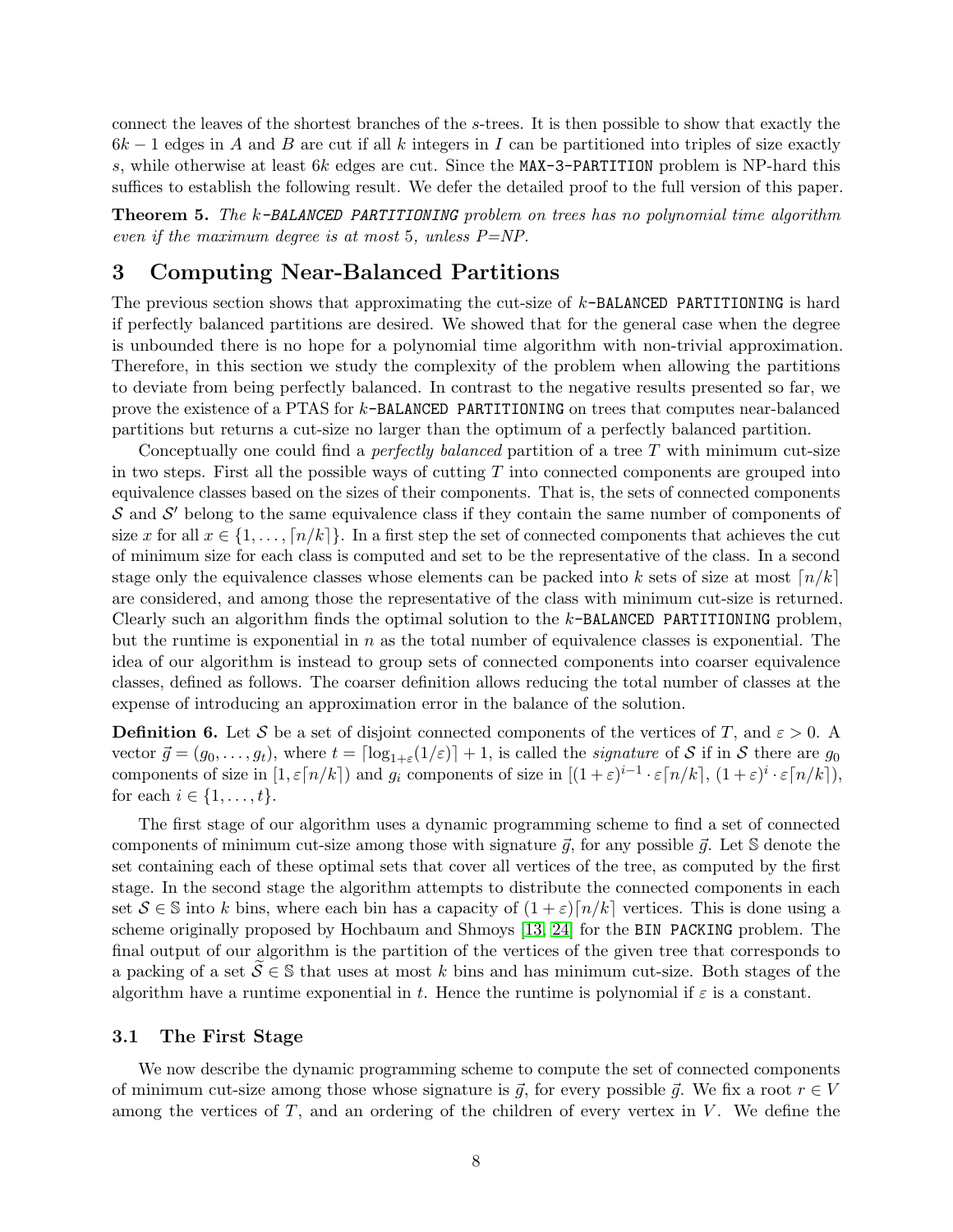connect the leaves of the shortest branches of the s-trees. It is then possible to show that exactly the  $6k-1$  edges in A and B are cut if all k integers in I can be partitioned into triples of size exactly s, while otherwise at least 6k edges are cut. Since the MAX-3-PARTITION problem is NP-hard this suffices to establish the following result. We defer the detailed proof to the full version of this paper.

Theorem 5. The k-BALANCED PARTITIONING problem on trees has no polynomial time algorithm even if the maximum degree is at most 5, unless  $P=NP$ .

## <span id="page-9-1"></span>3 Computing Near-Balanced Partitions

The previous section shows that approximating the cut-size of  $k$ -BALANCED PARTITIONING is hard if perfectly balanced partitions are desired. We showed that for the general case when the degree is unbounded there is no hope for a polynomial time algorithm with non-trivial approximation. Therefore, in this section we study the complexity of the problem when allowing the partitions to deviate from being perfectly balanced. In contrast to the negative results presented so far, we prove the existence of a PTAS for k-BALANCED PARTITIONING on trees that computes near-balanced partitions but returns a cut-size no larger than the optimum of a perfectly balanced partition.

Conceptually one could find a *perfectly balanced* partition of a tree T with minimum cut-size in two steps. First all the possible ways of cutting  $T$  into connected components are grouped into equivalence classes based on the sizes of their components. That is, the sets of connected components  $S$  and  $S'$  belong to the same equivalence class if they contain the same number of components of size x for all  $x \in \{1, \ldots, \lceil n/k \rceil\}$ . In a first step the set of connected components that achieves the cut of minimum size for each class is computed and set to be the representative of the class. In a second stage only the equivalence classes whose elements can be packed into k sets of size at most  $\lfloor n/k \rfloor$ are considered, and among those the representative of the class with minimum cut-size is returned. Clearly such an algorithm finds the optimal solution to the  $k$ -BALANCED PARTITIONING problem, but the runtime is exponential in  $n$  as the total number of equivalence classes is exponential. The idea of our algorithm is instead to group sets of connected components into coarser equivalence classes, defined as follows. The coarser definition allows reducing the total number of classes at the expense of introducing an approximation error in the balance of the solution.

<span id="page-9-0"></span>**Definition 6.** Let S be a set of disjoint connected components of the vertices of T, and  $\varepsilon > 0$ . A vector  $\vec{g} = (g_0, \ldots, g_t)$ , where  $t = \lceil \log_{1+\varepsilon}(1/\varepsilon) \rceil + 1$ , is called the *signature* of S if in S there are  $g_0$ components of size in  $[1, \varepsilon \lceil n/k \rceil)$  and  $g_i$  components of size in  $[(1+\varepsilon)^{i-1} \cdot \varepsilon \lceil n/k \rceil, (1+\varepsilon)^i \cdot \varepsilon \lceil n/k \rceil)$ , for each  $i \in \{1, \ldots, t\}.$ 

The first stage of our algorithm uses a dynamic programming scheme to find a set of connected components of minimum cut-size among those with signature  $\vec{g}$ , for any possible  $\vec{g}$ . Let S denote the set containing each of these optimal sets that cover all vertices of the tree, as computed by the first stage. In the second stage the algorithm attempts to distribute the connected components in each set  $S \in \mathbb{S}$  into k bins, where each bin has a capacity of  $(1+\varepsilon)\lceil n/k \rceil$  vertices. This is done using a scheme originally proposed by Hochbaum and Shmoys [\[13,](#page-16-14) [24\]](#page-17-8) for the BIN PACKING problem. The final output of our algorithm is the partition of the vertices of the given tree that corresponds to a packing of a set  $\overline{S} \in \mathbb{S}$  that uses at most k bins and has minimum cut-size. Both stages of the algorithm have a runtime exponential in t. Hence the runtime is polynomial if  $\varepsilon$  is a constant.

#### 3.1 The First Stage

We now describe the dynamic programming scheme to compute the set of connected components of minimum cut-size among those whose signature is  $\vec{g}$ , for every possible  $\vec{g}$ . We fix a root  $r \in V$ among the vertices of  $T$ , and an ordering of the children of every vertex in  $V$ . We define the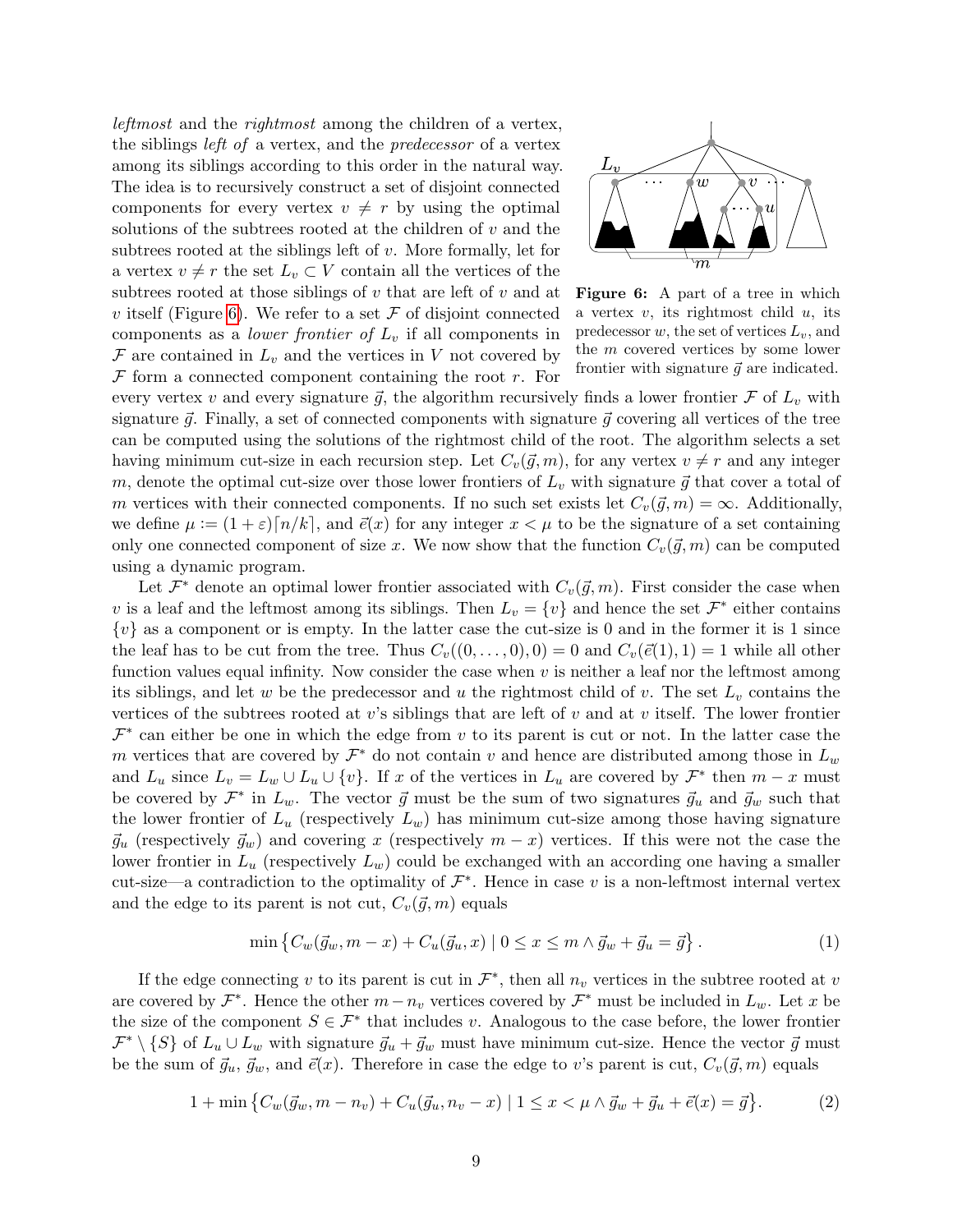leftmost and the rightmost among the children of a vertex, the siblings left of a vertex, and the predecessor of a vertex among its siblings according to this order in the natural way. The idea is to recursively construct a set of disjoint connected components for every vertex  $v \neq r$  by using the optimal solutions of the subtrees rooted at the children of  $v$  and the subtrees rooted at the siblings left of v. More formally, let for a vertex  $v \neq r$  the set  $L_v \subset V$  contain all the vertices of the subtrees rooted at those siblings of  $v$  that are left of  $v$  and at v itself (Figure [6\)](#page-10-0). We refer to a set  $\mathcal F$  of disjoint connected components as a *lower frontier of*  $L<sub>v</sub>$  if all components in  $\mathcal F$  are contained in  $L_v$  and the vertices in V not covered by  $F$  form a connected component containing the root  $r$ . For

<span id="page-10-0"></span>

Figure 6: A part of a tree in which a vertex  $v$ , its rightmost child  $u$ , its predecessor  $w$ , the set of vertices  $L_v$ , and the m covered vertices by some lower frontier with signature  $\vec{g}$  are indicated.

every vertex v and every signature  $\vec{g}$ , the algorithm recursively finds a lower frontier  $\mathcal F$  of  $L_v$  with signature  $\vec{g}$ . Finally, a set of connected components with signature  $\vec{g}$  covering all vertices of the tree can be computed using the solutions of the rightmost child of the root. The algorithm selects a set having minimum cut-size in each recursion step. Let  $C_v(\vec{g}, m)$ , for any vertex  $v \neq r$  and any integer m, denote the optimal cut-size over those lower frontiers of  $L_v$  with signature  $\vec{g}$  that cover a total of m vertices with their connected components. If no such set exists let  $C_v(\vec{g}, m) = \infty$ . Additionally, we define  $\mu := (1 + \varepsilon) \lceil n/k \rceil$ , and  $\vec{e}(x)$  for any integer  $x < \mu$  to be the signature of a set containing only one connected component of size x. We now show that the function  $C_v(\vec{g}, m)$  can be computed using a dynamic program.

Let  $\mathcal{F}^*$  denote an optimal lower frontier associated with  $C_v(\vec{g}, m)$ . First consider the case when v is a leaf and the leftmost among its siblings. Then  $L_v = \{v\}$  and hence the set  $\mathcal{F}^*$  either contains  $\{v\}$  as a component or is empty. In the latter case the cut-size is 0 and in the former it is 1 since the leaf has to be cut from the tree. Thus  $C_v((0, \ldots, 0), 0) = 0$  and  $C_v(\vec{e}(1), 1) = 1$  while all other function values equal infinity. Now consider the case when  $v$  is neither a leaf nor the leftmost among its siblings, and let w be the predecessor and u the rightmost child of v. The set  $L<sub>v</sub>$  contains the vertices of the subtrees rooted at v's siblings that are left of v and at v itself. The lower frontier  $\mathcal{F}^*$  can either be one in which the edge from v to its parent is cut or not. In the latter case the m vertices that are covered by  $\mathcal{F}^*$  do not contain v and hence are distributed among those in  $L_w$ and  $L_u$  since  $L_v = L_w \cup L_u \cup \{v\}$ . If x of the vertices in  $L_u$  are covered by  $\mathcal{F}^*$  then  $m-x$  must be covered by  $\mathcal{F}^*$  in  $L_w$ . The vector  $\vec{g}$  must be the sum of two signatures  $\vec{g}_u$  and  $\vec{g}_w$  such that the lower frontier of  $L_u$  (respectively  $L_w$ ) has minimum cut-size among those having signature  $\vec{g}_u$  (respectively  $\vec{g}_w$ ) and covering x (respectively  $m - x$ ) vertices. If this were not the case the lower frontier in  $L_u$  (respectively  $L_w$ ) could be exchanged with an according one having a smaller cut-size—a contradiction to the optimality of  $\mathcal{F}^*$ . Hence in case v is a non-leftmost internal vertex and the edge to its parent is not cut,  $C_v(\vec{g}, m)$  equals

<span id="page-10-2"></span><span id="page-10-1"></span>
$$
\min \left\{ C_w(\vec{g}_w, m - x) + C_u(\vec{g}_u, x) \mid 0 \le x \le m \land \vec{g}_w + \vec{g}_u = \vec{g} \right\}.
$$
 (1)

If the edge connecting v to its parent is cut in  $\mathcal{F}^*$ , then all  $n_v$  vertices in the subtree rooted at v are covered by  $\mathcal{F}^*$ . Hence the other  $m - n_v$  vertices covered by  $\mathcal{F}^*$  must be included in  $L_w$ . Let x be the size of the component  $S \in \mathcal{F}^*$  that includes v. Analogous to the case before, the lower frontier  $\mathcal{F}^* \setminus \{S\}$  of  $L_u \cup L_w$  with signature  $\vec{g}_u + \vec{g}_w$  must have minimum cut-size. Hence the vector  $\vec{g}$  must be the sum of  $\vec{g}_u, \vec{g}_w$ , and  $\vec{e}(x)$ . Therefore in case the edge to v's parent is cut,  $C_v(\vec{g}, m)$  equals

$$
1 + \min \left\{ C_w(\vec{g}_w, m - n_v) + C_u(\vec{g}_u, n_v - x) \mid 1 \le x < \mu \wedge \vec{g}_w + \vec{g}_u + \vec{e}(x) = \vec{g} \right\}.
$$
 (2)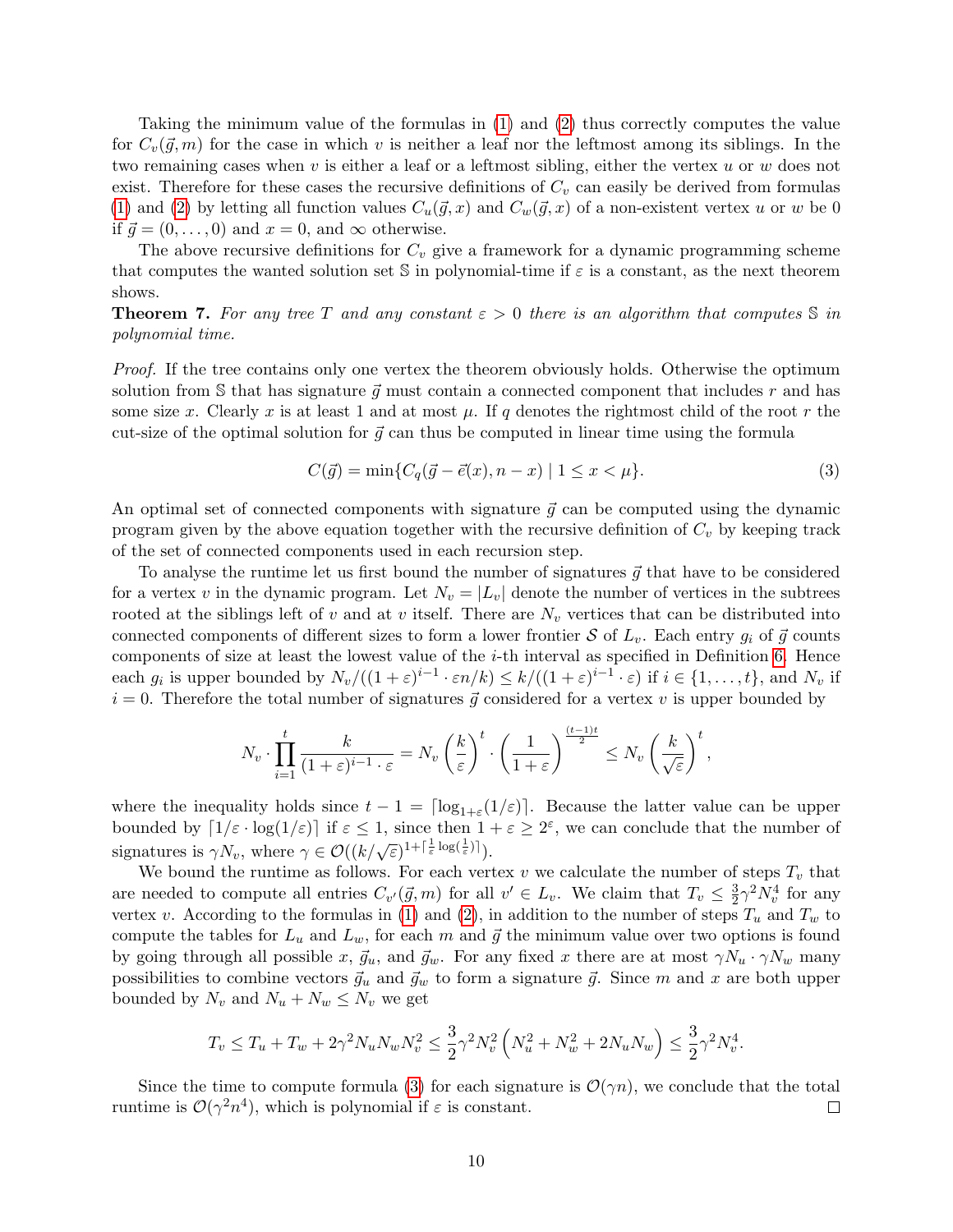Taking the minimum value of the formulas in [\(1\)](#page-10-1) and [\(2\)](#page-10-2) thus correctly computes the value for  $C_v(\vec{g}, m)$  for the case in which v is neither a leaf nor the leftmost among its siblings. In the two remaining cases when  $v$  is either a leaf or a leftmost sibling, either the vertex  $u$  or  $w$  does not exist. Therefore for these cases the recursive definitions of  $C_v$  can easily be derived from formulas [\(1\)](#page-10-1) and [\(2\)](#page-10-2) by letting all function values  $C_u(\vec{g}, x)$  and  $C_w(\vec{g}, x)$  of a non-existent vertex u or w be 0 if  $\vec{g} = (0, \ldots, 0)$  and  $x = 0$ , and  $\infty$  otherwise.

The above recursive definitions for  $C_v$  give a framework for a dynamic programming scheme that computes the wanted solution set  $\mathbb S$  in polynomial-time if  $\varepsilon$  is a constant, as the next theorem shows.

<span id="page-11-1"></span>**Theorem 7.** For any tree T and any constant  $\varepsilon > 0$  there is an algorithm that computes S in polynomial time.

Proof. If the tree contains only one vertex the theorem obviously holds. Otherwise the optimum solution from S that has signature  $\vec{q}$  must contain a connected component that includes r and has some size x. Clearly x is at least 1 and at most  $\mu$ . If q denotes the rightmost child of the root r the cut-size of the optimal solution for  $\vec{q}$  can thus be computed in linear time using the formula

<span id="page-11-0"></span>
$$
C(\vec{g}) = \min\{C_q(\vec{g} - \vec{e}(x), n - x) \mid 1 \le x < \mu\}.\tag{3}
$$

An optimal set of connected components with signature  $\vec{g}$  can be computed using the dynamic program given by the above equation together with the recursive definition of  $C_v$  by keeping track of the set of connected components used in each recursion step.

To analyse the runtime let us first bound the number of signatures  $\vec{g}$  that have to be considered for a vertex v in the dynamic program. Let  $N_v = |L_v|$  denote the number of vertices in the subtrees rooted at the siblings left of v and at v itself. There are  $N_v$  vertices that can be distributed into connected components of different sizes to form a lower frontier S of  $L_v$ . Each entry  $g_i$  of  $\vec{g}$  counts components of size at least the lowest value of the i-th interval as specified in Definition [6.](#page-9-0) Hence each  $g_i$  is upper bounded by  $N_v/((1+\varepsilon)^{i-1} \cdot \varepsilon n/k) \leq k/((1+\varepsilon)^{i-1} \cdot \varepsilon)$  if  $i \in \{1, \ldots, t\}$ , and  $N_v$  if  $i = 0$ . Therefore the total number of signatures  $\vec{q}$  considered for a vertex v is upper bounded by

$$
N_v \cdot \prod_{i=1}^t \frac{k}{(1+\varepsilon)^{i-1} \cdot \varepsilon} = N_v \left(\frac{k}{\varepsilon}\right)^t \cdot \left(\frac{1}{1+\varepsilon}\right)^{\frac{(t-1)t}{2}} \le N_v \left(\frac{k}{\sqrt{\varepsilon}}\right)^t,
$$

where the inequality holds since  $t - 1 = \lceil \log_{1+\varepsilon}(1/\varepsilon) \rceil$ . Because the latter value can be upper bounded by  $[1/\varepsilon \cdot \log(1/\varepsilon)]$  if  $\varepsilon \leq 1$ , since then  $1 + \varepsilon \geq 2^{\varepsilon}$ , we can conclude that the number of signatures is  $\gamma N_v$ , where  $\gamma \in \mathcal{O}((k/\sqrt{\varepsilon})^{1+[\frac{1}{\varepsilon}\log(\frac{1}{\varepsilon})]}).$ 

We bound the runtime as follows. For each vertex  $v$  we calculate the number of steps  $T_v$  that are needed to compute all entries  $C_{v'}(\vec{g}, m)$  for all  $v' \in L_v$ . We claim that  $T_v \leq \frac{3}{2}$  $\frac{3}{2}\gamma^2 N_v^4$  for any vertex v. According to the formulas in [\(1\)](#page-10-1) and [\(2\)](#page-10-2), in addition to the number of steps  $T_u$  and  $T_w$  to compute the tables for  $L_u$  and  $L_w$ , for each m and  $\vec{g}$  the minimum value over two options is found by going through all possible x,  $\vec{g}_u$ , and  $\vec{g}_w$ . For any fixed x there are at most  $\gamma N_u \cdot \gamma N_w$  many possibilities to combine vectors  $\vec{g}_u$  and  $\vec{g}_w$  to form a signature  $\vec{g}$ . Since m and x are both upper bounded by  $N_v$  and  $N_u + N_w \leq N_v$  we get

$$
T_v \le T_u + T_w + 2\gamma^2 N_u N_w N_v^2 \le \frac{3}{2} \gamma^2 N_v^2 \left( N_u^2 + N_w^2 + 2N_u N_w \right) \le \frac{3}{2} \gamma^2 N_v^4.
$$

Since the time to compute formula [\(3\)](#page-11-0) for each signature is  $\mathcal{O}(\gamma n)$ , we conclude that the total runtime is  $\mathcal{O}(\gamma^2 n^4)$ , which is polynomial if  $\varepsilon$  is constant.  $\Box$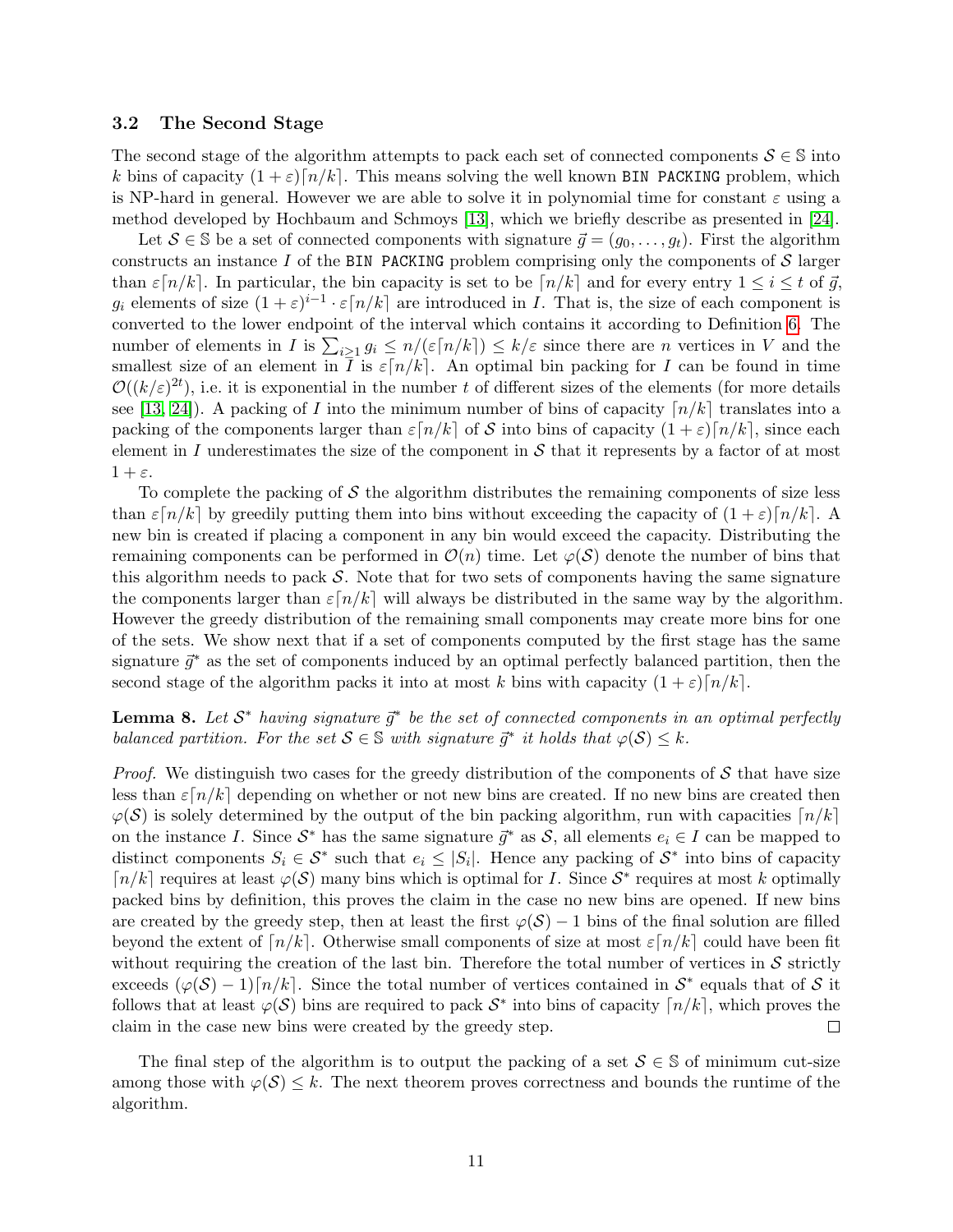#### 3.2 The Second Stage

The second stage of the algorithm attempts to pack each set of connected components  $S \in \mathbb{S}$  into k bins of capacity  $(1 + \varepsilon) [n/k]$ . This means solving the well known BIN PACKING problem, which is NP-hard in general. However we are able to solve it in polynomial time for constant  $\varepsilon$  using a method developed by Hochbaum and Schmoys [\[13\]](#page-16-14), which we briefly describe as presented in [\[24\]](#page-17-8).

Let  $S \in \mathbb{S}$  be a set of connected components with signature  $\vec{q} = (q_0, \ldots, q_t)$ . First the algorithm constructs an instance I of the BIN PACKING problem comprising only the components of  $S$  larger than  $\varepsilon\lceil n/k \rceil$ . In particular, the bin capacity is set to be  $\lceil n/k \rceil$  and for every entry  $1 \leq i \leq t$  of  $\vec{q}$ ,  $g_i$  elements of size  $(1+\varepsilon)^{i-1} \cdot \varepsilon \lceil n/k \rceil$  are introduced in I. That is, the size of each component is converted to the lower endpoint of the interval which contains it according to Definition [6.](#page-9-0) The number of elements in I is  $\sum_{i\geq 1} g_i \leq n/(\varepsilon \lceil n/k \rceil) \leq k/\varepsilon$  since there are n vertices in V and the smallest size of an element in I is  $\varepsilon \lceil n/k \rceil$ . An optimal bin packing for I can be found in time  $\mathcal{O}((k/\varepsilon)^{2t})$ , i.e. it is exponential in the number t of different sizes of the elements (for more details see [\[13,](#page-16-14) [24\]](#page-17-8)). A packing of I into the minimum number of bins of capacity  $\lceil n/k \rceil$  translates into a packing of the components larger than  $\varepsilon\lceil n/k \rceil$  of S into bins of capacity  $(1+\varepsilon)\lceil n/k \rceil$ , since each element in I underestimates the size of the component in  $\mathcal S$  that it represents by a factor of at most  $1 + \varepsilon$ .

To complete the packing of  $\mathcal S$  the algorithm distributes the remaining components of size less than  $\varepsilon\lceil n/k \rceil$  by greedily putting them into bins without exceeding the capacity of  $(1 + \varepsilon)\lceil n/k \rceil$ . A new bin is created if placing a component in any bin would exceed the capacity. Distributing the remaining components can be performed in  $\mathcal{O}(n)$  time. Let  $\varphi(\mathcal{S})$  denote the number of bins that this algorithm needs to pack  $S$ . Note that for two sets of components having the same signature the components larger than  $\varepsilon \lceil n/k \rceil$  will always be distributed in the same way by the algorithm. However the greedy distribution of the remaining small components may create more bins for one of the sets. We show next that if a set of components computed by the first stage has the same signature  $\vec{g}^*$  as the set of components induced by an optimal perfectly balanced partition, then the second stage of the algorithm packs it into at most k bins with capacity  $(1 + \varepsilon) \lceil n/k \rceil$ .

## <span id="page-12-0"></span>**Lemma 8.** Let  $S^*$  having signature  $\vec{g}^*$  be the set of connected components in an optimal perfectly balanced partition. For the set  $S \in \mathbb{S}$  with signature  $\vec{g}^*$  it holds that  $\varphi(S) \leq k$ .

*Proof.* We distinguish two cases for the greedy distribution of the components of  $S$  that have size less than  $\varepsilon \lceil n/k \rceil$  depending on whether or not new bins are created. If no new bins are created then  $\varphi(\mathcal{S})$  is solely determined by the output of the bin packing algorithm, run with capacities  $\lceil n/k \rceil$ on the instance I. Since  $S^*$  has the same signature  $\vec{g}^*$  as S, all elements  $e_i \in I$  can be mapped to distinct components  $S_i \in \mathcal{S}^*$  such that  $e_i \leq |S_i|$ . Hence any packing of  $\mathcal{S}^*$  into bins of capacity  $\lceil n/k \rceil$  requires at least  $\varphi(\mathcal{S})$  many bins which is optimal for I. Since  $\mathcal{S}^*$  requires at most k optimally packed bins by definition, this proves the claim in the case no new bins are opened. If new bins are created by the greedy step, then at least the first  $\varphi(S) - 1$  bins of the final solution are filled beyond the extent of  $\lceil n/k \rceil$ . Otherwise small components of size at most  $\varepsilon \lceil n/k \rceil$  could have been fit without requiring the creation of the last bin. Therefore the total number of vertices in  $S$  strictly exceeds  $(\varphi(S) - 1) [n/k]$ . Since the total number of vertices contained in  $S^*$  equals that of S it follows that at least  $\varphi(\mathcal{S})$  bins are required to pack  $\mathcal{S}^*$  into bins of capacity  $\lceil n/k \rceil$ , which proves the claim in the case new bins were created by the greedy step.  $\Box$ 

The final step of the algorithm is to output the packing of a set  $S \in \mathbb{S}$  of minimum cut-size among those with  $\varphi(\mathcal{S}) \leq k$ . The next theorem proves correctness and bounds the runtime of the algorithm.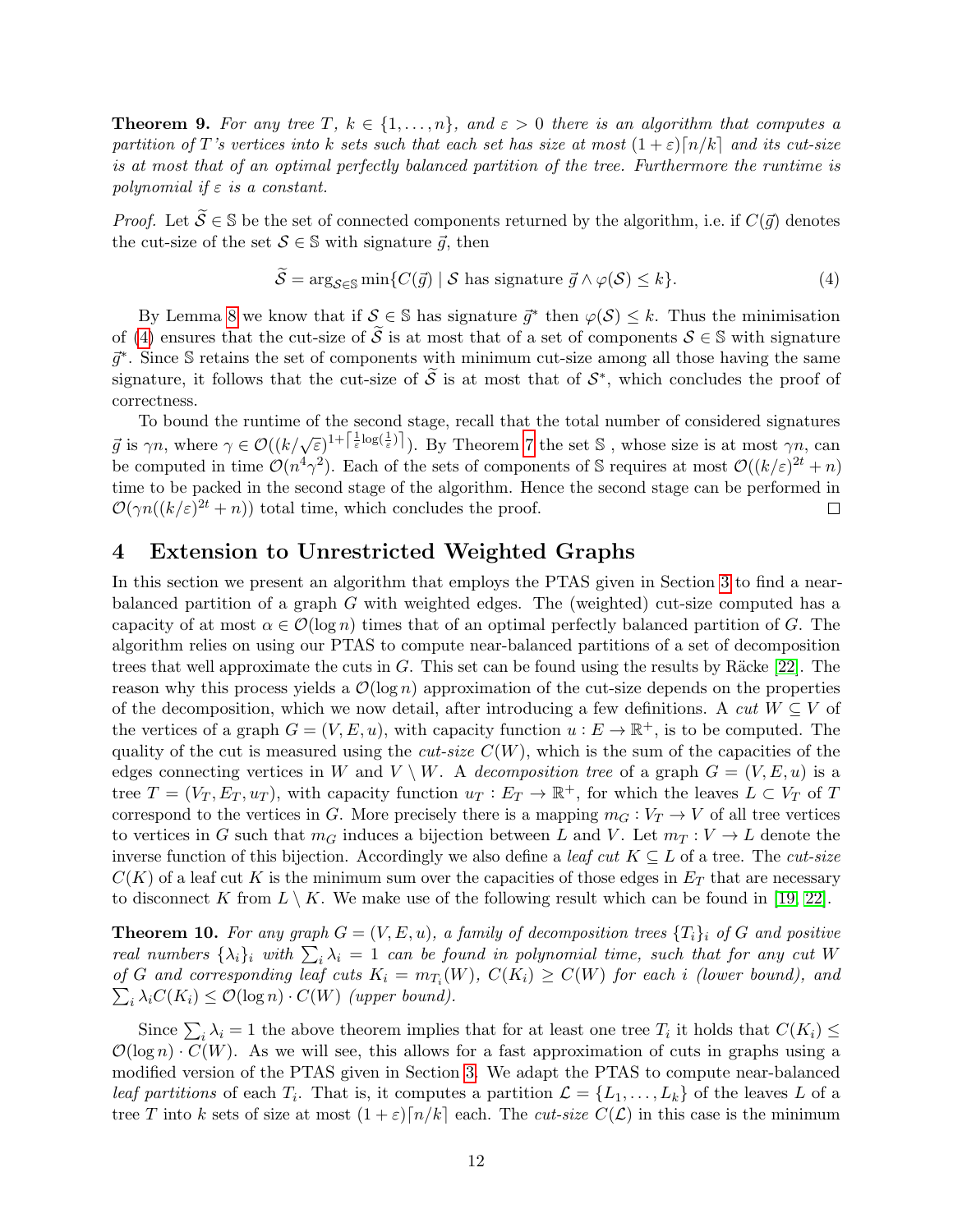**Theorem 9.** For any tree T,  $k \in \{1, \ldots, n\}$ , and  $\varepsilon > 0$  there is an algorithm that computes a partition of T's vertices into k sets such that each set has size at most  $(1+\varepsilon)\lceil n/k \rceil$  and its cut-size is at most that of an optimal perfectly balanced partition of the tree. Furthermore the runtime is polynomial if  $\varepsilon$  is a constant.

*Proof.* Let  $\widetilde{S} \in \mathbb{S}$  be the set of connected components returned by the algorithm, i.e. if  $C(\vec{g})$  denotes the cut-size of the set  $S \in \mathbb{S}$  with signature  $\vec{g}$ , then

<span id="page-13-0"></span>
$$
\mathcal{S} = \arg_{\mathcal{S} \in \mathbb{S}} \min \{ C(\vec{g}) \mid \mathcal{S} \text{ has signature } \vec{g} \land \varphi(\mathcal{S}) \le k \}. \tag{4}
$$

By Lemma [8](#page-12-0) we know that if  $S \in \mathbb{S}$  has signature  $\vec{g}^*$  then  $\varphi(S) \leq k$ . Thus the minimisation of [\(4\)](#page-13-0) ensures that the cut-size of  $\tilde{S}$  is at most that of a set of components  $S \in \mathbb{S}$  with signature  $\vec{g}^*$ . Since S retains the set of components with minimum cut-size among all those having the same signature, it follows that the cut-size of  $\tilde{S}$  is at most that of  $S^*$ , which concludes the proof of correctness.

To bound the runtime of the second stage, recall that the total number of considered signatures  $\vec{g}$  is  $\gamma n$ , where  $\gamma \in \mathcal{O}((k/\sqrt{\varepsilon})^{1+\left[\frac{1}{\varepsilon}\log(\frac{1}{\varepsilon})\right]})$ . By Theorem [7](#page-11-1) the set S, whose size is at most  $\gamma n$ , can be computed in time  $\mathcal{O}(n^4\gamma^2)$ . Each of the sets of components of S requires at most  $\mathcal{O}((k/\varepsilon)^{2t}+n)$ time to be packed in the second stage of the algorithm. Hence the second stage can be performed in  $\mathcal{O}(\gamma n((k/\varepsilon)^{2t}+n))$  total time, which concludes the proof.  $\Box$ 

## 4 Extension to Unrestricted Weighted Graphs

In this section we present an algorithm that employs the PTAS given in Section [3](#page-9-1) to find a nearbalanced partition of a graph G with weighted edges. The (weighted) cut-size computed has a capacity of at most  $\alpha \in \mathcal{O}(\log n)$  times that of an optimal perfectly balanced partition of G. The algorithm relies on using our PTAS to compute near-balanced partitions of a set of decomposition trees that well approximate the cuts in  $G$ . This set can be found using the results by Räcke [\[22\]](#page-17-2). The reason why this process yields a  $\mathcal{O}(\log n)$  approximation of the cut-size depends on the properties of the decomposition, which we now detail, after introducing a few definitions. A cut  $W \subseteq V$  of the vertices of a graph  $G = (V, E, u)$ , with capacity function  $u : E \to \mathbb{R}^+$ , is to be computed. The quality of the cut is measured using the *cut-size*  $C(W)$ , which is the sum of the capacities of the edges connecting vertices in W and  $V \setminus W$ . A decomposition tree of a graph  $G = (V, E, u)$  is a tree  $T = (V_T, E_T, u_T)$ , with capacity function  $u_T : E_T \to \mathbb{R}^+$ , for which the leaves  $L \subset V_T$  of T correspond to the vertices in G. More precisely there is a mapping  $m_G : V_T \to V$  of all tree vertices to vertices in G such that  $m_G$  induces a bijection between L and V. Let  $m_T : V \to L$  denote the inverse function of this bijection. Accordingly we also define a leaf cut  $K \subseteq L$  of a tree. The cut-size  $C(K)$  of a leaf cut K is the minimum sum over the capacities of those edges in  $E_T$  that are necessary to disconnect K from  $L \setminus K$ . We make use of the following result which can be found in [\[19,](#page-17-6) [22\]](#page-17-2).

<span id="page-13-1"></span>**Theorem 10.** For any graph  $G = (V, E, u)$ , a family of decomposition trees  $\{T_i\}_i$  of G and positive real numbers  $\{\lambda_i\}_i$  with  $\sum_i \lambda_i = 1$  can be found in polynomial time, such that for any cut W of G and corresponding leaf cuts  $K_i = m_{T_i}(W)$ ,  $C(K_i) \geq C(W)$  for each i (lower bound), and  $\sum_i \lambda_i C(K_i) \leq \mathcal{O}(\log n) \cdot C(W)$  (upper bound).

Since  $\sum_i \lambda_i = 1$  the above theorem implies that for at least one tree  $T_i$  it holds that  $C(K_i) \leq$  $\mathcal{O}(\log n) \cdot C(W)$ . As we will see, this allows for a fast approximation of cuts in graphs using a modified version of the PTAS given in Section [3.](#page-9-1) We adapt the PTAS to compute near-balanced leaf partitions of each  $T_i$ . That is, it computes a partition  $\mathcal{L} = \{L_1, \ldots, L_k\}$  of the leaves L of a tree T into k sets of size at most  $(1+\varepsilon)\lceil n/k \rceil$  each. The cut-size  $C(\mathcal{L})$  in this case is the minimum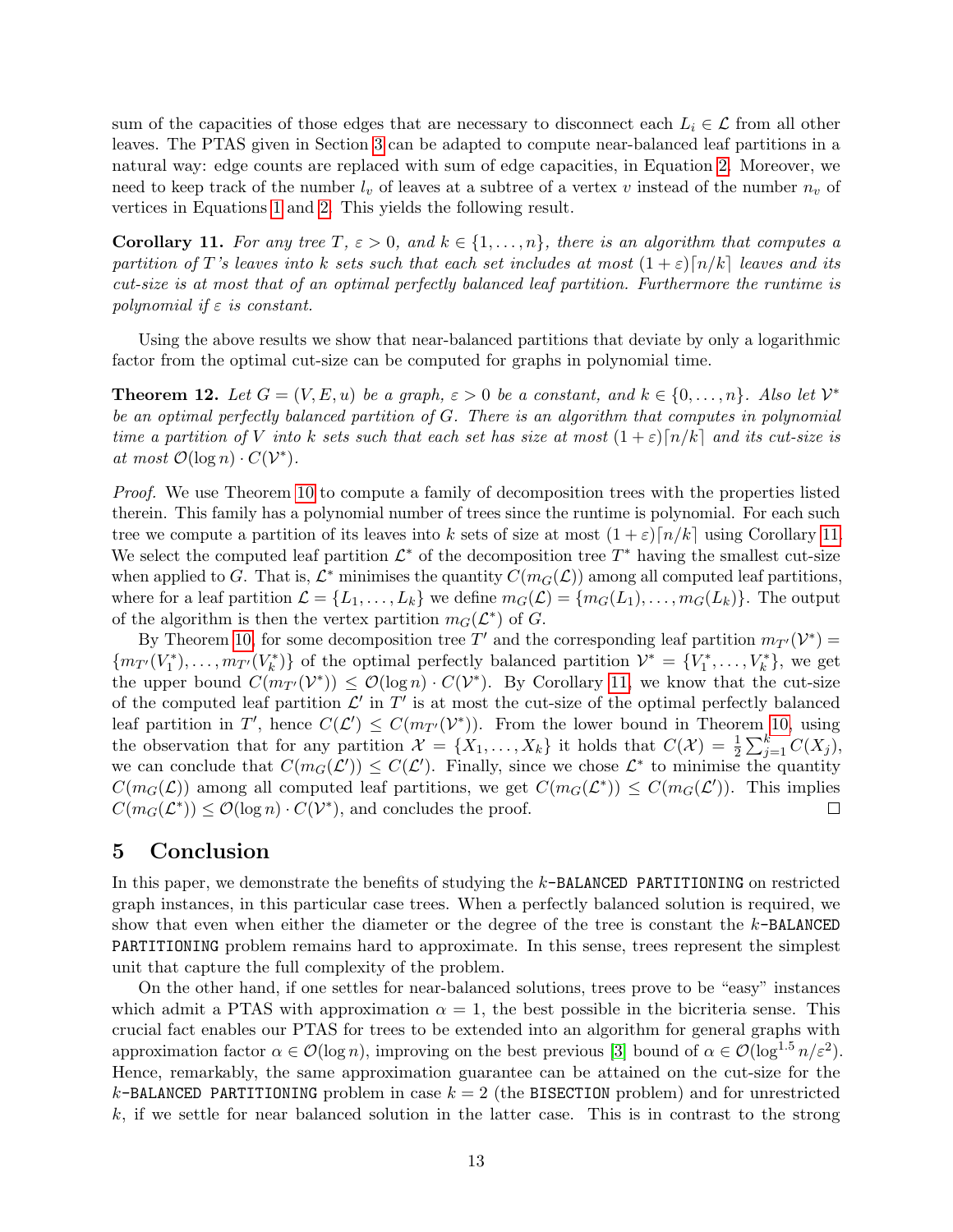sum of the capacities of those edges that are necessary to disconnect each  $L_i \in \mathcal{L}$  from all other leaves. The PTAS given in Section [3](#page-9-1) can be adapted to compute near-balanced leaf partitions in a natural way: edge counts are replaced with sum of edge capacities, in Equation [2.](#page-10-2) Moreover, we need to keep track of the number  $l_v$  of leaves at a subtree of a vertex v instead of the number  $n_v$  of vertices in Equations [1](#page-10-1) and [2.](#page-10-2) This yields the following result.

<span id="page-14-0"></span>**Corollary 11.** For any tree  $T, \varepsilon > 0$ , and  $k \in \{1, \ldots, n\}$ , there is an algorithm that computes a partition of T's leaves into k sets such that each set includes at most  $(1+\varepsilon)\lceil n/k \rceil$  leaves and its cut-size is at most that of an optimal perfectly balanced leaf partition. Furthermore the runtime is polynomial if  $\varepsilon$  is constant.

Using the above results we show that near-balanced partitions that deviate by only a logarithmic factor from the optimal cut-size can be computed for graphs in polynomial time.

**Theorem 12.** Let  $G = (V, E, u)$  be a graph,  $\varepsilon > 0$  be a constant, and  $k \in \{0, ..., n\}$ . Also let  $V^*$ be an optimal perfectly balanced partition of G. There is an algorithm that computes in polynomial time a partition of V into k sets such that each set has size at most  $(1+\varepsilon)\lceil n/k \rceil$  and its cut-size is at most  $\mathcal{O}(\log n) \cdot C(\mathcal{V}^*)$ .

Proof. We use Theorem [10](#page-13-1) to compute a family of decomposition trees with the properties listed therein. This family has a polynomial number of trees since the runtime is polynomial. For each such tree we compute a partition of its leaves into k sets of size at most  $(1+\varepsilon)\lceil n/k \rceil$  using Corollary [11.](#page-14-0) We select the computed leaf partition  $\mathcal{L}^*$  of the decomposition tree  $T^*$  having the smallest cut-size when applied to G. That is,  $\mathcal{L}^*$  minimises the quantity  $C(m_G(\mathcal{L}))$  among all computed leaf partitions, where for a leaf partition  $\mathcal{L} = \{L_1, \ldots, L_k\}$  we define  $m_G(\mathcal{L}) = \{m_G(L_1), \ldots, m_G(L_k)\}\$ . The output of the algorithm is then the vertex partition  $m_G(\mathcal{L}^*)$  of G.

By Theorem [10,](#page-13-1) for some decomposition tree T' and the corresponding leaf partition  $m_{T}(\mathcal{V}^*) =$  ${m_{T'}(V_1^*), \ldots, m_{T'}(V_k^*)}$  of the optimal perfectly balanced partition  $\mathcal{V}^* = {V_1^*, \ldots, V_k^*}$ , we get the upper bound  $C(m_{T'}(\mathcal{V}^*)) \leq \mathcal{O}(\log n) \cdot C(\mathcal{V}^*)$ . By Corollary [11,](#page-14-0) we know that the cut-size of the computed leaf partition  $\mathcal{L}'$  in  $T'$  is at most the cut-size of the optimal perfectly balanced leaf partition in T', hence  $C(\mathcal{L}') \leq C(m_{T'}(\mathcal{V}^*))$ . From the lower bound in Theorem [10,](#page-13-1) using the observation that for any partition  $\mathcal{X} = \{X_1, \ldots, X_k\}$  it holds that  $C(\mathcal{X}) = \frac{1}{2} \sum_{j=1}^k C(X_j)$ , we can conclude that  $C(m_G(\mathcal{L}')) \leq C(\mathcal{L}')$ . Finally, since we chose  $\mathcal{L}^*$  to minimise the quantity  $C(m_G(\mathcal{L}))$  among all computed leaf partitions, we get  $C(m_G(\mathcal{L}^*)) \leq C(m_G(\mathcal{L}'))$ . This implies  $C(m_G(\mathcal{L}^*)) \leq \mathcal{O}(\log n) \cdot C(\mathcal{V}^*)$ , and concludes the proof.  $\Box$ 

### 5 Conclusion

In this paper, we demonstrate the benefits of studying the k-BALANCED PARTITIONING on restricted graph instances, in this particular case trees. When a perfectly balanced solution is required, we show that even when either the diameter or the degree of the tree is constant the k-BALANCED PARTITIONING problem remains hard to approximate. In this sense, trees represent the simplest unit that capture the full complexity of the problem.

On the other hand, if one settles for near-balanced solutions, trees prove to be "easy" instances which admit a PTAS with approximation  $\alpha = 1$ , the best possible in the bicriteria sense. This crucial fact enables our PTAS for trees to be extended into an algorithm for general graphs with approximation factor  $\alpha \in \mathcal{O}(\log n)$ , improving on the best previous [\[3\]](#page-16-0) bound of  $\alpha \in \mathcal{O}(\log^{1.5} n/\varepsilon^2)$ . Hence, remarkably, the same approximation guarantee can be attained on the cut-size for the k-BALANCED PARTITIONING problem in case  $k = 2$  (the BISECTION problem) and for unrestricted  $k$ , if we settle for near balanced solution in the latter case. This is in contrast to the strong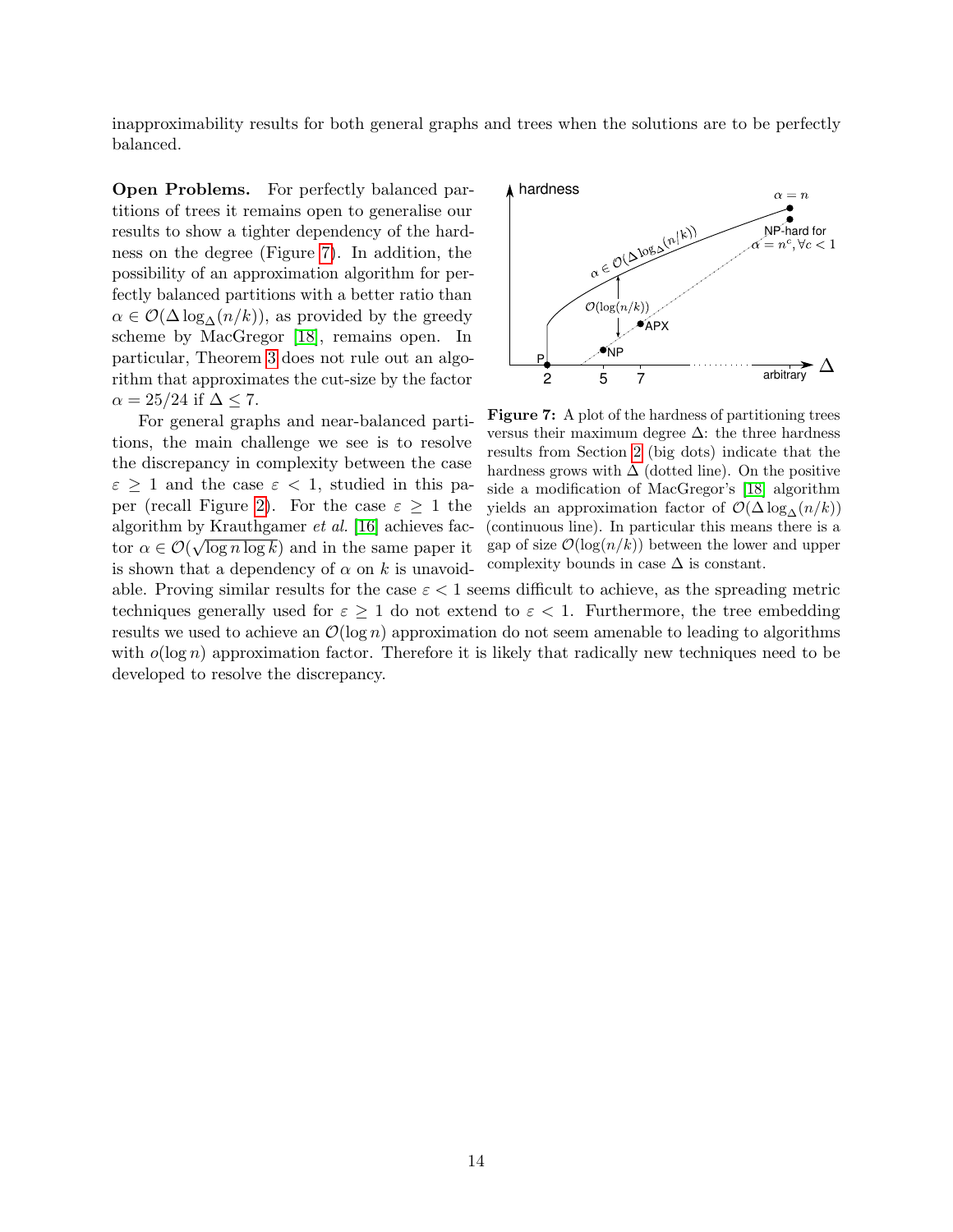inapproximability results for both general graphs and trees when the solutions are to be perfectly balanced.

Open Problems. For perfectly balanced partitions of trees it remains open to generalise our results to show a tighter dependency of the hardness on the degree (Figure [7\)](#page-15-0). In addition, the possibility of an approximation algorithm for perfectly balanced partitions with a better ratio than  $\alpha \in \mathcal{O}(\Delta \log_{\Delta}(n/k))$ , as provided by the greedy scheme by MacGregor [\[18\]](#page-17-1), remains open. In particular, Theorem [3](#page-6-1) does not rule out an algorithm that approximates the cut-size by the factor  $\alpha = 25/24$  if  $\Delta \leq 7$ .

For general graphs and near-balanced partitions, the main challenge we see is to resolve the discrepancy in complexity between the case  $\varepsilon \geq 1$  and the case  $\varepsilon < 1$ , studied in this pa-per (recall Figure [2\)](#page-5-0). For the case  $\varepsilon \geq 1$  the algorithm by Krauthgamer *et al.* [\[16\]](#page-17-0) achieves factor  $\alpha \in \mathcal{O}(\sqrt{\log n \log k})$  and in the same paper it is shown that a dependency of  $\alpha$  on k is unavoid-

<span id="page-15-0"></span>

Figure 7: A plot of the hardness of partitioning trees versus their maximum degree  $\Delta$ : the three hardness results from Section [2](#page-4-1) (big dots) indicate that the hardness grows with  $\Delta$  (dotted line). On the positive side a modification of MacGregor's [\[18\]](#page-17-1) algorithm yields an approximation factor of  $\mathcal{O}(\Delta \log_{\Lambda}(n/k))$ (continuous line). In particular this means there is a gap of size  $\mathcal{O}(\log(n/k))$  between the lower and upper complexity bounds in case  $\Delta$  is constant.

able. Proving similar results for the case  $\varepsilon < 1$  seems difficult to achieve, as the spreading metric techniques generally used for  $\varepsilon > 1$  do not extend to  $\varepsilon < 1$ . Furthermore, the tree embedding results we used to achieve an  $\mathcal{O}(\log n)$  approximation do not seem amenable to leading to algorithms with  $o(\log n)$  approximation factor. Therefore it is likely that radically new techniques need to be developed to resolve the discrepancy.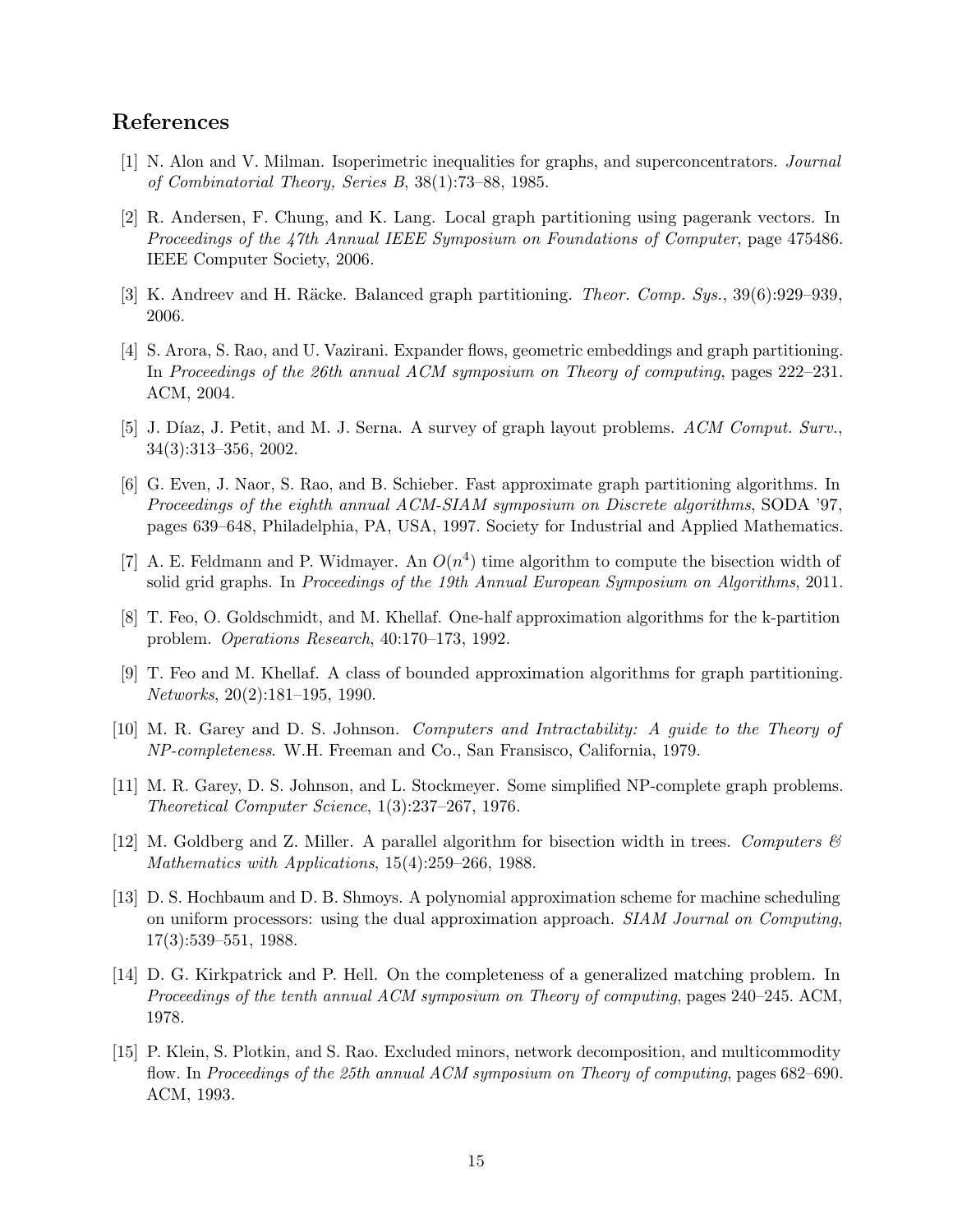## References

- <span id="page-16-9"></span>[1] N. Alon and V. Milman. Isoperimetric inequalities for graphs, and superconcentrators. Journal of Combinatorial Theory, Series B, 38(1):73–88, 1985.
- <span id="page-16-10"></span>[2] R. Andersen, F. Chung, and K. Lang. Local graph partitioning using pagerank vectors. In Proceedings of the 47th Annual IEEE Symposium on Foundations of Computer, page 475486. IEEE Computer Society, 2006.
- <span id="page-16-0"></span>[3] K. Andreev and H. Räcke. Balanced graph partitioning. *Theor. Comp. Sys.*,  $39(6):929-939$ . 2006.
- <span id="page-16-5"></span>[4] S. Arora, S. Rao, and U. Vazirani. Expander flows, geometric embeddings and graph partitioning. In Proceedings of the 26th annual ACM symposium on Theory of computing, pages 222–231. ACM, 2004.
- <span id="page-16-6"></span>[5] J. Díaz, J. Petit, and M. J. Serna. A survey of graph layout problems. ACM Comput. Surv., 34(3):313–356, 2002.
- <span id="page-16-1"></span>[6] G. Even, J. Naor, S. Rao, and B. Schieber. Fast approximate graph partitioning algorithms. In Proceedings of the eighth annual ACM-SIAM symposium on Discrete algorithms, SODA '97, pages 639–648, Philadelphia, PA, USA, 1997. Society for Industrial and Applied Mathematics.
- <span id="page-16-7"></span>[7] A. E. Feldmann and P. Widmayer. An  $O(n^4)$  time algorithm to compute the bisection width of solid grid graphs. In Proceedings of the 19th Annual European Symposium on Algorithms, 2011.
- <span id="page-16-12"></span>[8] T. Feo, O. Goldschmidt, and M. Khellaf. One-half approximation algorithms for the k-partition problem. Operations Research, 40:170–173, 1992.
- <span id="page-16-11"></span>[9] T. Feo and M. Khellaf. A class of bounded approximation algorithms for graph partitioning. Networks, 20(2):181–195, 1990.
- <span id="page-16-13"></span>[10] M. R. Garey and D. S. Johnson. Computers and Intractability: A guide to the Theory of NP-completeness. W.H. Freeman and Co., San Fransisco, California, 1979.
- <span id="page-16-4"></span>[11] M. R. Garey, D. S. Johnson, and L. Stockmeyer. Some simplified NP-complete graph problems. Theoretical Computer Science, 1(3):237–267, 1976.
- <span id="page-16-8"></span>[12] M. Goldberg and Z. Miller. A parallel algorithm for bisection width in trees. Computers  $\mathcal{C}$ Mathematics with Applications, 15(4):259–266, 1988.
- <span id="page-16-14"></span>[13] D. S. Hochbaum and D. B. Shmoys. A polynomial approximation scheme for machine scheduling on uniform processors: using the dual approximation approach. SIAM Journal on Computing, 17(3):539–551, 1988.
- <span id="page-16-2"></span>[14] D. G. Kirkpatrick and P. Hell. On the completeness of a generalized matching problem. In Proceedings of the tenth annual ACM symposium on Theory of computing, pages 240–245. ACM, 1978.
- <span id="page-16-3"></span>[15] P. Klein, S. Plotkin, and S. Rao. Excluded minors, network decomposition, and multicommodity flow. In Proceedings of the 25th annual ACM symposium on Theory of computing, pages 682–690. ACM, 1993.